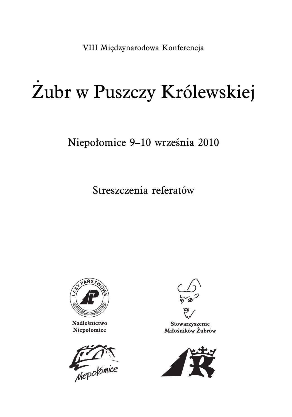VIII Międzynarodowa Konferencja

# Żubr w Puszczy Królewskiej

# Niepołomice 9–10 września 2010

Streszczenia referatów



Nadleśnictwo Niepołomice





Stowarzyszenie Miłośników Żubrów

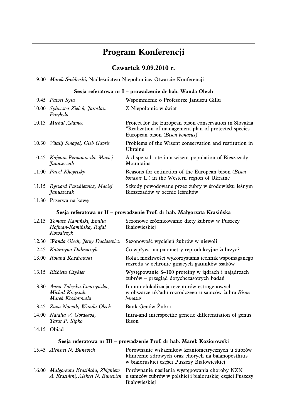# **Program Konferencji**

# **Czwartek 9.09.2010 r.**

9.00 Marek Świderski, Nadleśnictwo Niepołomice, Otwarcie Konferencji

| Sesia referatowa nr I – prowadzenie dr hab. Wanda Olech |  |
|---------------------------------------------------------|--|
|                                                         |  |

| 9.45 Paweł Sysa                                 | Wspomnienie o Profesorze Januszu Gillu                                                                                                             |
|-------------------------------------------------|----------------------------------------------------------------------------------------------------------------------------------------------------|
| 10.00 Sylwester Zieleń, Jarosław<br>Przybyło    | Z Niepołomic w świat                                                                                                                               |
| 10.15 Michal Adamec                             | Project for the European bison conservation in Slovakia<br>"Realization of management plan of protected species<br>European bison (Bison bonasus)" |
| 10.30 Vitalij Smagol, Gleb Gavris               | Problems of the Wisent conservation and restitution in<br>Ukraine                                                                                  |
| 10.45 Kajetan Perzanowski, Maciej<br>Januszczak | A dispersal rate in a wisent population of Bieszczady<br>Mountains                                                                                 |
| 11.00 Pavel Khoyetsky                           | Reasons for extinction of the European bison ( <i>Bison</i> )<br><i>bonasus</i> L.) in the Western region of Ukraine                               |
| 11.15 Ryszard Paszkiewicz, Maciej<br>Januszczak | Szkody powodowane przez żubry w środowisku leśnym<br>Bieszczadów w ocenie leśników                                                                 |

11.30 Przerwa na kawę

**Sesja referatowa nr II – prowadzenie Prof. dr hab. Małgorzata Krasińska**

| 12.15 Tomasz Kamiński, Emilia<br>Hofman-Kamińska, Rafał<br>Kowalczyk    | Sezonowe zróżnicowanie diety żubrów w Puszczy<br>Białowieskiej                                              |
|-------------------------------------------------------------------------|-------------------------------------------------------------------------------------------------------------|
| 12.30 Wanda Olech, Ferzy Dackiewicz                                     | Sezonowość wycieleń żubrów w niewoli                                                                        |
| 12.45 Katarzyna Daleszczyk                                              | Co wpływa na parametry reprodukcyjne żubrzyc?                                                               |
| 13.00 Roland Kozdrowski                                                 | Rola i możliwości wykorzystania technik wspomaganego<br>rozrodu w ochronie ginących gatunków ssaków         |
| 13.15 Elżbieta Czykier                                                  | Występowanie S–100 proteiny w jadrach i najądrząch<br>żubrów – przegląd dotychczasowych badań               |
| 13.30 Anna Tabecka-Łonczyńska,<br>Michał Krzysiak,<br>Marek Koziorowski | Immunolokalizacja receptorów estrogenowych<br>w obszarze układu rozrodczego u samców żubra Bison<br>bonasus |
| 13.45 Zuza Nowak, Wanda Olech                                           | Bank Genów Zubra                                                                                            |
| 14.00 Natalia V. Gordeeva,<br>Taras P. Sipko                            | Intra-and interspecific genetic differentiation of genus<br><b>Bison</b>                                    |
| 14.15 Obiad                                                             |                                                                                                             |

|  | Sesja referatowa nr III – prowadzenie Prof. dr hab. Marek Koziorowski |  |  |  |
|--|-----------------------------------------------------------------------|--|--|--|
|  |                                                                       |  |  |  |

| <u>Jesja Telefatowa III III – prowadzelne i fol. dr hab. Marek Kozlofowski</u> |                                                                                                                                                                                                   |  |  |  |  |
|--------------------------------------------------------------------------------|---------------------------------------------------------------------------------------------------------------------------------------------------------------------------------------------------|--|--|--|--|
| 15.45 Aleksiei N. Bunevich                                                     | Porównanie wskaźników kraniometrycznych u żubrów<br>klinicznie zdrowych oraz chorych na balanoposthitis<br>w białoruskiej części Puszczy Białowieskiej                                            |  |  |  |  |
|                                                                                | 16.00 Małgorzata Krasińska, Zbigniew Porównanie nasilenia występowania choroby NZN<br>A. Krasiński, Aleksei N. Bunevich u samców żubrów w polskiej i białoruskiej części Puszczy<br>Białowieskiei |  |  |  |  |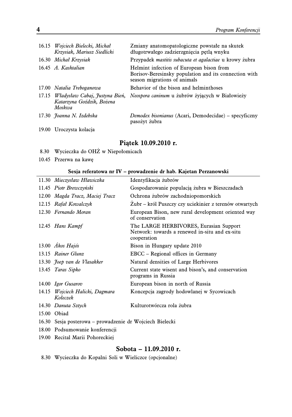|       | 16.15 Wojciech Bielecki, Michał<br>Krzysiak, Mariusz Siedlicki        | Zmiany anatomopatologiczne powstałe na skutek<br>długotrwałego zadzierzgnięcia pętlą wnyku                                        |
|-------|-----------------------------------------------------------------------|-----------------------------------------------------------------------------------------------------------------------------------|
|       | 16.30 Michał Krzysiak                                                 | Przypadek <i>mastitis subacuta et agalactiae</i> u krowy żubra                                                                    |
|       | 16.45 A. Kashtalian                                                   | Helmint infection of European bison from<br>Borisov-Beresinsky population and its connection with<br>season migrations of animals |
|       | 17.00 Natalia Treboganowa                                             | Behavior of the bison and helminthoses                                                                                            |
| 17.15 | Władysław Cabaj, Justyna Bień,<br>Katarzyna Goździk, Bożena<br>Moskwa | Neospora caninum u żubrów żyjących w Białowieży                                                                                   |
|       | 17.30 Joanna N. Izdebska                                              | <i>Demodex bisonianus</i> (Acari, Demodecidae) – specyficzny<br>pasożyt żubra                                                     |
|       | 19.00 Uroczysta kolacja                                               |                                                                                                                                   |

# **Piątek 10.09.2010 r.**

- 8.30 Wycieczka do OHŻ w Niepołomicach
- 10.45 Przerwa na kawę

#### **Sesja referatowa nr IV – prowadzenie dr hab. Kajetan Perzanowski**

| 11.30 Mieczysław Hławiczka                               | Identyfikacja żubrów                                                                                    |
|----------------------------------------------------------|---------------------------------------------------------------------------------------------------------|
| 11.45 Piotr Brewczyński                                  | Gospodarowanie populacją żubra w Bieszczadach                                                           |
| 12.00 Magda Tracz, Maciej Tracz                          | Ochrona żubrów zachodniopomorskich                                                                      |
| 12.15 Rafał Kowalczyk                                    | Zubr – król Puszczy czy uciekinier z terenów otwartych                                                  |
| 12.30 Fernando Moran                                     | European Bison, new rural development oriented way<br>of conservation                                   |
| 12.45 Hans Kampf                                         | The LARGE HERBIVORES, Eurasian Support<br>Network: towards a renewed in-situ and ex-situ<br>cooperation |
| 13.00 Akos Hajós                                         | Bison in Hungary update 2010                                                                            |
| 13.15 Rainer Glunz                                       | EBCC – Regional offices in Germany                                                                      |
| 13.30 <i>Joep van de Vlasakker</i>                       | Natural densities of Large Herbivores                                                                   |
| 13.45 Taras Sipko                                        | Current state wisent and bison's, and conservation<br>programs in Russia                                |
| 14.00 Igor Gusarov                                       | European bison in north of Russia                                                                       |
| 14.15 Wojciech Halicki, Dagmara<br>Kołeczek              | Koncepcja zagrody hodowlanej w Sycowicach                                                               |
| 14.30 Danuta Sztych                                      | Kulturotwórcza rola żubra                                                                               |
| 15.00 Obiad                                              |                                                                                                         |
| 16.30 Sesja posterowa – prowadzenie dr Wojciech Bielecki |                                                                                                         |
| 18.00 Podsumowanie konferencji                           |                                                                                                         |
| 19.00 Recital Marii Pohoreckiej                          |                                                                                                         |

# **Sobota – 11.09.2010 r.**

|  | 8.30 Wycieczka do Kopalni Soli w Wieliczce (opcjonalne) |  |  |  |  |  |  |  |  |
|--|---------------------------------------------------------|--|--|--|--|--|--|--|--|
|--|---------------------------------------------------------|--|--|--|--|--|--|--|--|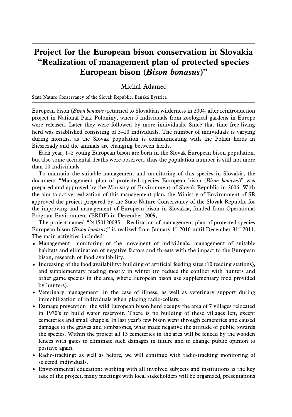# **Project for the European bison conservation in Slovakia "Realization of management plan of protected species European bison (Bison bonasus)"**

### Michal Adamec

State Nature Conservancy of the Slovak Republic, Banská Bystrica

European bison (Bison bonasus) returned to Slovakian wilderness in 2004, after reintroduction project in National Park Poloniny, when 5 individuals from zoological gardens in Europe were released. Later they were followed by more individuals. Since that time free-living herd was established consisting of 5–10 individuals. The number of individuals is varying during months, as the Slovak population is communicating with the Polish herds in Bieszczady and the animals are changing between herds.

Each year, 1–2 young European bison are born in the Slovak European bison population, but also some accidental deaths were observed, thus the population number is still not more than 10 individuals.

To maintain the suitable management and monitoring of this species in Slovakia, the document "Management plan of protected species European bison (Bison bonasus)" was prepared and approved by the Ministry of Environment of Slovak Republic in 2006. With the aim to active realization of this management plan, the Ministry of Environment of SR approved the project prepared by the State Nature Conservancy of the Slovak Republic for the improving and management of European bison in Slovakia, funded from Operational Program Environment (ERDF) in December 2009,

The project named "24150120035 – Realization of management plan of protected species European bison (Bison bonasus)" is realized from January  $1^{st}$  2010 until December 31<sup>st</sup> 2011. The main activities included:

- Management: monitoring of the movement of individuals, management of suitable habitats and elimination of negative factors and threats with the impact to the European bison, research of food availability.
- Increasing of the food availability: building of artificial feeding sites (10 feeding stations), and supplementary feeding mostly in winter (to reduce the conflict with hunters and other game species in the area, where European bison use supplementary food provided by hunters).
- Veterinary management: in the case of illness, as well as veterinary support during immobilization of individuals when placing radio-collars.
- Damage prevention: the wild European bison herd occupy the area of 7 villages relocated in 1970's to build water reservoir. There is no building of these villages left, except cemeteries and small chapels. In last year's few bison went through cemeteries and caused damages to the graves and tombstones, what made negative the attitude of public towards the species. Within the project all 13 cemeteries in the area will be fenced by the wooden fences with gates to eliminate such damages in future and to change public opinion to positive again.
- Radio-tracking: as well as before, we will continue with radio-tracking monitoring of selected individuals.
- Environmental education: working with all involved subjects and institutions is the key task of the project, many meetings with local stakeholders will be organized, presentations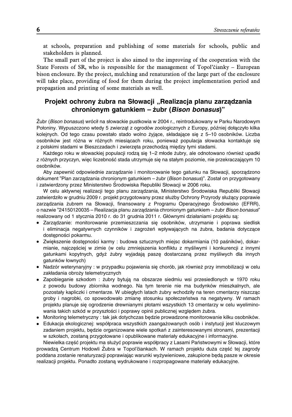at schools, preparation and publishing of some materials for schools, public and stakeholders is planned.

The small part of the project is also aimed to the improving of the cooperation with the State Forests of SR, who is responsible for the management of Topol'čianky – European bison enclosure. By the project, mulching and renaturation of the large part of the enclosure will take place, providing of food for them during the project implementation period and propagation and printing of some materials as well.

# **Projekt ochrony z˙ubra na Słowacji "Realizacja planu zarza˛dzania chronionym gatunkiem – z˙ubr (***Bison bonasus***)"**

Żubr (Bison bonasus) wrócił na słowackie pustkowia w 2004 r., reintrodukowany w Parku Narodowym Połoniny. Wypuszczono wtedy 5 zwierząt z ogrodów zoologicznych z Europy, później dołączyło kilka kolejnych. Od tego czasu powstało stado wolno żyjące, składające się z 5–10 osobników. Liczba osobników jest różna w różnych miesiącach roku, ponieważ populacja słowacka kontaktuje się z polskimi stadami w Bieszczadach i zwierzęta przechodzą między tymi stadami.

Każdego roku w słowackiej populacji rodzą się 1–2 młode żubry, ale odnotowano również upadki z różnych przyczyn, więc liczebność stada utrzymuje się na stałym poziomie, nie przekraczającym 10 osobników.

Aby zapewnić odpowiednie zarządzanie i monitorowanie tego gatunku na Słowacji, sporządzono dokument "Plan zarza˛dzania chronionym gatunkiem – z˙ubr (*Bison bonasus*)". Został on przygotowany i zatwierdzony przez Ministerstwo Środowiska Republiki Słowacji w 2006 roku.

W celu aktywnej realizacji tego planu zarządzania, Ministerstwo Środowiska Republiki Słowacji zatwierdziło w grudniu 2009 r. projekt przygotowany przez służby Ochrony Przyrody służący poprawie zarządzania żubrem na Słowacji, finansowany z Programu Operacyjnego Środowisko (EFRR), o nazwie "24150120035 – Realizacja planu zarza˛dzania chronionym gatunkiem – z˙ubr *Bison bonasus*" realizowany od 1 stycznia 2010 r. do 31 grudnia 2011 r. Głównymi działaniami projektu są:

- Zarządzanie: monitorowanie przemieszczania się osobników, utrzymanie i poprawa siedlisk i eliminacja negatywnych czynników i zagrożeń wpływających na żubra, badania dotyczące dostępności pokarmu.
- Zwiekszenie dostepności karmy : budowa sztucznych miejsc dokarmiania (10 paśników), dokarmianie, najczęściej w zimie (w celu zmniejszenia konfliktu z myśliwymi i konkurencji z innymi gatunkami kopytnych, gdyż żubry wyjadają paszę dostarczaną przez myśliwych dla innych gatunków łownych)
- Nadzór weterynaryjny : w przypadku pojawienia się chorób, jak również przy immobilizacji w celu zakładania obroży telemetrycznych
- Zapobieganie szkodom : żubry bytują na obszarze siedmiu wsi przesiedlonych w 1970 roku z powodu budowy zbiornika wodnego. Na tym terenie nie ma budynków mieszkalnych, ale pozostały kapliczki i cmentarze. W ubiegłych latach żubry wchodziły na teren cmentarzy niszcząc groby i nagrobki, co spowodowało zmianę stosunku społeczeństwa na negatywny. W ramach projektu planuje się ogrodzenie drewnianymi płotami wszystkich 13 cmentarzy w celu wyeliminowania takich szkód w przyszłości i poprawy opinii publicznej względem żubra.
- Monitoring telemetryczny : tak jak dotychczas będzie prowadzone monitorowanie kilku osobników.
- Edukacja ekologicznej: współpraca wszystkich zaangażowanych osób i instytucji jest kluczowym zadaniem projektu, będzie organizowane wiele spotkań z zainteresowanymi stronami, prezentacji w szkołach, zostaną przygotowane i opublikowane materiały edukacyjne i informacyjne. Niewielka część projektu ma służyć poprawie współpracy z Lasami Państwowymi w Słowacji, które

prowadzą Centrum Hodowli Żubra w Topol'čiankach. W ramach projektu duża część tej zagrody poddana zostanie renaturyzacji poprawiając warunki wyżywieniowe, zakupione będą pasze w okresie realizacji projektu. Ponadto zostaną wydrukowane i rozpropagowane materiały edukacyjne.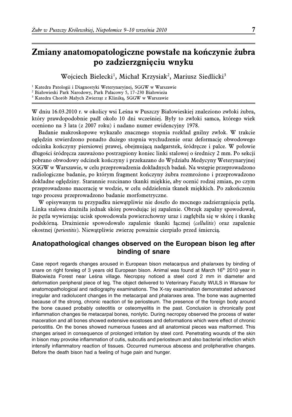# **Zmiany anatomopatologiczne powstałe na kończynie żubra po zadzierzgnięciu wnyku**

Wojciech Bielecki<sup>1</sup>, Michał Krzysiak<sup>2</sup>, Mariusz Siedlicki<sup>3</sup>

<sup>1</sup> Katedra Patologii i Diagnostyki Weterynaryjnej, SGGW w Warszawie

<sup>2</sup> Białowieski Park Narodowy, Park Pałacowy 5, 17–230 Białowieża

<sup>3</sup> Katedra Chorób Małych Zwierząt z Kliniką, SGGW w Warszawie

W dniu 16.03.2010 r. w okolicy wsi Leśna w Puszczy Białowieskiej znaleziono zwłoki żubra, który prawdopodobnie padł około 10 dni wcześniej. Były to zwłoki samca, którego wiek oceniono na 3 lata (z 2007 roku) i nadano numer ewidencyjny 1978.

Badanie makroskopowe wykazało znacznego stopnia rozkład gnilny zwłok. W trakcie oględzin stwierdzono ponadto dużego stopnia wychudzenie oraz deformację obwodowego odcinka kończyny piersiowej prawej, obejmującą nadgarstek, śródręcze i palce. W połowie długości śródręcza zauważono postrzępiony koniec linki stalowej o średnicy 2 mm. Po sekcji pobrano obwodowy odcinek kończyny i przekazano do Wydziału Medycyny Weterynaryjnej SGGW w Warszawie, w celu przeprowadzenia dokładnych badań. Na wstępie przeprowadzono radiologiczne badanie, po którym fragment kończyny żubra rozmrożono i przeprowadzono dokładne oględziny. Starannie rozcinano tkanki miękkie, aby ocenić rodzaj zmian, po czym przeprowadzono macerację w wodzie, w celu oddzielenia tkanek miękkich. Po zakończeniu tego procesu przeprowadzono badanie morfometryczne.

W opisywanym tu przypadku niewątpliwie nie doszło do mocnego zadzierzgnięcia pętlą. Linka stalowa drażniła jednak skórę powodując jej zapalenie. Obrzęk zapalny spowodował, że pętla wywierając ucisk spowodowała powierzchowny uraz i zagłębiła się w skórę i tkankę podskórną. Drażnienie spowodowało zapalenie tkanki łącznej (cellulitis) oraz zapalenie okostnej (periostitis). Niewątpliwie zwierzę poważnie cierpiało przed śmiercią.

# **Anatopathological changes observed on the European bison leg after binding of snare**

Case report regards changes aroused in European bison metacarpus and phalanxes by binding of snare on right foreleg of 3 years old European bison. Animal was found at March 16<sup>th</sup> 2010 year in Białowieża Forest near Leśna village. Necropsy noticed a steel cord 2 mm in diameter and deformation peripheral piece of leg. The object delivered to Veterinary Faculty WULS in Warsaw for anatomopathological and radiography examinations. The X-ray examination demonstrated advanced irregular and radiolucent changes in the metacarpal and phalanxes area. The bone was augmented because of the strong, chronic reaction of tie periosteum. The presence of the foreign body around the bone caused probably osteotitis or osteomyelitis in the past. Conclusion is chronically post inflammation changes tie metacarpal bones, nonlytic. During necropsy observed the process of water maceration and all bones showed extensive exostoses and deformations which were effect of chronic periostitis. On the bones showed numerous fusees and all anatomical pieces was malformed. This changes arised in consequence of prolonged irritation by steel cord. Penetrating wounds of the skin in bison may provoke inflammation of cutis, subcutis and periosteum and also bacterial infection which intensify inflammatory reaction of tissues. Occurred numerous abscess and prolipherative changes. Before the death bison had a feeling of huge pain and hunger.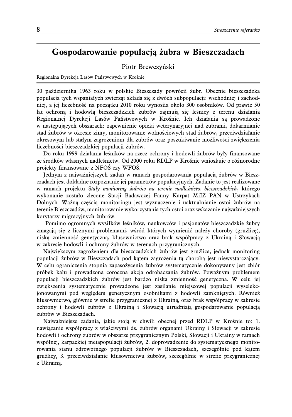# **Gospodarowanie populacją żubra w Bieszczadach**

### Piotr Brewczyński

Regionalna Dyrekcja Lasów Państwowych w Krośnie

30 października 1963 roku w polskie Bieszczady powrócił żubr. Obecnie bieszczadzka populacja tych wspaniałych zwierząt składa się z dwóch subpopulacji: wschodniej i zachodniej, a jej liczebność na początku 2010 roku wynosiła około 300 osobników. Od prawie 50 lat ochroną i hodowlą bieszczadzkich żubrów zajmują się leśnicy z terenu działania Regionalnej Dyrekcji Lasów Państwowych w Krośnie. Ich działania są prowadzone w następujących obszarach: zapewnienie opieki weterynaryjnej nad żubrami, dokarmianie stad żubrów w okresie zimy, monitorowanie wolnościowych stad żubrów, przeciwdziałanie okresowym lub stałym zagrożeniom dla żubrów oraz poszukiwanie możliwości zwiększenia liczebności bieszczadzkiej populacji żubrów.

Do roku 1999 działania leśników na rzecz ochrony i hodowli żubrów były finansowane ze środków własnych nadleśnictw. Od 2000 roku RDLP w Krośnie wnioskuje o różnorodne projekty finansowane z NFOŚ czy WFOŚ.

Jednym z najważniejszych zadań w ramach gospodarowania populacją żubrów w Bieszczadach jest dokładne rozpoznanie jej parametrów populacyjnych. Zadanie to jest realizowane w ramach projektu Stały monitoring żubrów na terenie nadleśnictw bieszczadzkich, którego wykonanie zostało zlecone Stacji Badawczej Fauny Karpat MiIZ PAN w Ustrzykach Dolnych. Ważną częścią monitoringu jest wyznaczenie i uaktualnianie ostoi żubrów na terenie Bieszczadów, monitorowanie wykorzystania tych ostoi oraz wskazanie najważniejszych korytarzy migracyjnych żubrów.

Pomimo ogromnych wysiłków leśników, naukowców i pasjonatów bieszczadzkie żubry zmagają się z licznymi problemami, wśród których wymienić należy choroby (gruźlicę), niską zmienność genetyczną, kłusownictwo oraz brak współpracy z Ukrainą i Słowacją w zakresie hodowli i ochrony żubrów w terenach przygranicznych.

Największym zagrożeniem dla bieszczadzkich żubrów jest gruźlica, jednak monitoring populacji żubrów w Bieszczadach pod kątem zagrożenia tą chorobą jest niewystarczający. W celu ograniczenia stopnia zapasożycenia żubrów systematycznie dokonywany jest zbiór próbek kału i prowadzona coroczna akcja odrobaczania żubrów. Poważnym problemem populacji bieszczadzkich żubrów jest bardzo niska zmienność genetyczna. W celu jej zwiększenia systematycznie prowadzone jest zasilanie miejscowej populacji wyselekcjonowanymi pod względem genetycznym osobnikami z hodowli zamkniętych. Również kłusownictwo, głównie w strefie przygranicznej z Ukrainą, oraz brak współpracy w zakresie ochrony i hodowli żubrów z Ukrainą i Słowacją utrudniają gospodarowanie populacją żubrów w Bieszczadach.

Najważniejsze zadania, jakie stoją w chwili obecnej przed RDLP w Krośnie to: 1. nawiązanie współpracy z właściwymi ds. żubrów organami Ukrainy i Słowacji w zakresie hodowli i ochrony żubrów w obszarze przygranicznym Polski, Słowacji i Ukrainy w ramach wspólnej, karpackiej metapopulacji żubrów, 2. doprowadzenie do systematycznego monitorowania stanu zdrowotnego populacji żubrów w Bieszczadach, szczególnie pod kątem gruźlicy, 3. przeciwdziałanie kłusownictwu żubrów, szczególnie w strefie przygranicznej z Ukrainą.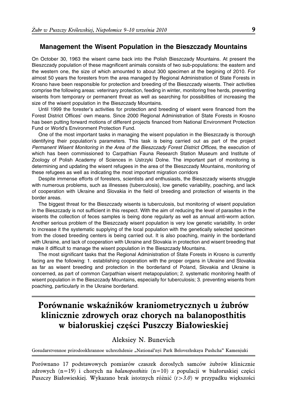### **Management the Wisent Population in the Bieszczady Mountains**

On October 30, 1963 the wisent came back into the Polish Bieszczady Mountains. At present the Bieszczady population of these magnificent animals consists of two sub-populations: the eastern and the western one, the size of which amounted to about 300 specimen at the begining of 2010. For almost 50 years the foresters from the area managed by Regional Administration of State Forests in Krosno have been responsible for protection and breeding of the Bieszczady wisents. Their activities comprise the following areas: veterinary protection, feeding in winter, monitoring free herds, preventing wisents from temporary or permanent threat as well as searching for possibilities of increasing the size of the wisent population in the Bieszczady Mountains.

Until 1999 the forester's activities for protection and breeding of wisent were financed from the Forest District Offices' own means. Since 2000 Regional Administration of State Forests in Krosno has been putting forward motions of different projects financed from National Environment Protection Fund or World's Environment Protection Fund.

One of the most important tasks in managing the wisent population in the Bieszczady is thorough identifying their population's parameters. This task is being carried out as part of the project *Permanent Wisent Monitoring in the Area of the Bieszczady Forest District Offices*, the execution of which has been commissioned to Carpathian Fauna Research Station Museum and Institute of Zoology of Polish Academy of Sciences in Ustrzyki Dolne. The important part of monitoring is determining and updating the wisent refugees in the area of the Bieszczady Mountains, monitoring of these refugees as well as indicating the most important migration corridors

Despite immense efforts of foresters, scientists and enthusiasts, the Bieszczady wisents struggle with numerous problems, such as illnesses (tuberculosis), low genetic variability, poaching, and lack of cooperation with Ukraine and Slovakia in the field of breeding and protection of wisents in the border areas.

The biggest threat for the Bieszczady wisents is tuberculosis, but monitoring of wisent population in the Bieszczady is not sufficient in this respect. With the aim of reducing the level of parasites in the wisents the collection of feces samples is being done regularly as well as annual anti-worm action. Another serious problem of the Bieszczady wisent population is very low genetic variability. In order to increase it the systematic supplying of the local population with the genetically selected specimen from the closed breeding centers is being carried out. It is also poaching, mainly in the borderland with Ukraine, and lack of cooperation with Ukraine and Slovakia in protection and wisent breeding that make it difficult to manage the wisent population in the Bieszczady Mountains.

The most significant tasks that the Regional Administration of State Forests in Krosno is currently facing are the following: 1. establishing cooperation with the proper organs in Ukraine and Slovakia as far as wisent breeding and protection in the borderland of Poland, Slovakia and Ukraine is concerned, as part of common Carpathian wisent metapopulation; 2. systematic monitoring health of wisent population in the Bieszczady Mountains, especially for tuberculosis; 3. preventing wisents from poaching, particularly in the Ukraine borderland.

# **Porównanie wskaźników kraniometrycznych u żubrów klinicznie zdrowych oraz chorych na balanoposthitis w białoruskiej części Puszczy Białowieskiej**

### Aleksiey N. Bunevich

Gosudarstvennoe prirodookhrannoe uchrezhdenie "National'nyi Park Belovezhskaya Pushcha" Kamenjuki

Porównano 17 podstawowych pomiarów czaszek dorosłych samców żubrów klinicznie zdrowych  $(n=19)$  i chorych na *balanoposthitis*  $(n=10)$  z populacji w białoruskiej części Puszczy Białowieskiej. Wykazano brak istotnych różnić  $(t > 3.0)$  w przypadku większości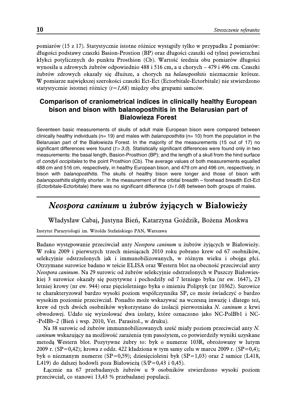pomiarów (15 z 17). Statystycznie istotne różnice wystąpiły tylko w przypadku 2 pomiarów: długości podstawy czaszki Basion-Prostion (BP) oraz długości czaszki od tylnej powierzchni kłykci potylicznych do punktu Prosthion (Cb). Wartość średnia obu pomiarów długości wynosiła u zdrowych żubrów odpowiednio 488 i 516 cm, a u chorych – 479 i 496 cm. Czaszki żubrów zdrowych okazały się dłuższe, a chorych na balanoposthitis nieznacznie krótsze. W pomiarze największej szerokości czaszki Ect-Ect (Ectorbitale-Ectorbitale) nie stwierdzono statystycznie istotnej różnicy  $(t=1,68)$  między obu grupami samców.

# **Comparison of craniometrical indices in clinically healthy European bison and bison with balanoposthitis in the Belarusian part of Bialowieza Forest**

Seventeen basic measurements of skulls of adult male European bison were compared between clinically healthy individuals (n= 19) and males with *balanoposthitis* (n= 10) from the population in the Belarusian part of the Białowieża Forest. In the majority of the measurements (15 out of 17) no significant differences were found ( $t$   $>$  3.0). Statistically significant differences were found only in two measurements: the basal length, Basion-Prosthion (BP); and the length of a skull from the hind surface of *condyli occipitales* to the point Prosthion (Cb). The average values of both measurements equalled 488 cm and 516 cm, respectively, in healthy European bison, and 479 cm and 496 cm, respectively, in bison with *balanoposthitis*. The skulls of healthy bison were longer and those of bison with *balanoposthitis* slightly shorter. In the measurement of the orbital breadth – forehead breadth Ect-Ect (Ectorbitale-Ectorbitale) there was no significant difference (*t=1.68*) between both groups of males.

# **Neospora caninum u żubrów żyjących w Białowieży**

Władysław Cabaj, Justyna Bień, Katarzyna Goździk, Bożena Moskwa

Instytut Parazytologii im. Witolda Stefańskiego PAN, Warszawa

Badano występowanie przeciwciał anty Neospora caninum u żubrów żyjących w Białowieży. W roku 2009 i pierwszych trzech miesiącach 2010 roku pobrano krew od 67 osobników, selekcyjnie odstrzelonych jak i immunobilizowanych, w różnym wieku i obojga płci. Otrzymane surowice badano w teście ELISA oraz Western blot na obecność przeciwciał anty Neospora caninum. Na 29 surowic od żubrów selekcyjnie odstrzelonych w Puszczy Białowieskiej 3 surowice okazały się pozytywne i pochodziły od 7 letniego byka (nr ew. 1647), 23 letniej krowy (nr ew. 944) oraz pięcioletniego byka o imieniu Poliptyk (nr 10362). Surowice te charakteryzował bardzo wysoki poziom współczynnika SP, co może świadczyć o bardzo wysokim poziomie przeciwciał. Ponadto może wskazywać na wczesną inwazję i dlatego też, krew od tych dwóch osobników wykorzystano do izolacji pierwotniaka N. caninum z krwi obwodowej. Udało się wyizolować dwa izolaty, które oznaczono jako NC-PolBb1 i NC- -PolBb–2 (Bień i wsp. 2010, Vet. Parasitol., w druku).

Na 38 surowic od żubrów immunnobilizowanych sześć miały poziom przeciwciał anty N. caninum wskazujący na możliwość zarażenia tym pasożytem, co potwierdziły wyniki uzyskane metodą Western blot. Pozytywne żubry to: byk o numerze 103R, obrożowany w lutym 2009 r. (SP=0,42); krowa z oddz. 422 kładziona w tym samy celu w marcu 2009 r. (SP=0,4); byk o nieznanym numerze (SP=0,59); dziesięcioletni byk (SP=1,03) oraz 2 samice (L418, L419) do dalszej hodowli poza Białowieżą (S/P=0,43 i 0,45).

Łącznie na 67 przebadanych żubrów u 9 osobników stwierdzono wysoki poziom przeciwciał, co stanowi 13,43 % przebadanej populacji.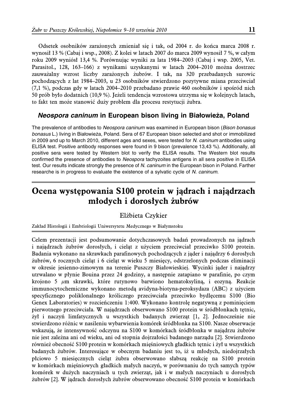Odsetek osobników zarażonych zmieniał się i tak, od 2004 r. do końca marca 2008 r. wynosił 13 % (Cabaj i wsp., 2008). Z kolei w latach 2007 do marca 2009 wynosił 7 %, w całym roku 2009 wyniósł 13,4 %. Porównując wyniki za lata 1984–2003 (Cabaj i wsp. 2005, Vet. Parasitol., 128, 163–166) z wynikami uzyskanymi w latach 2004–2010 można dostrzec zauważalny wzrost liczby zarażonych żubrów. I tak, na 320 przebadanych surowic pochodzących z lat 1984–2003, u 23 osobników stwierdzono pozytywne miana przeciwciał (7,1 %), podczas gdy w latach 2004–2010 przebadano prawie 460 osobników i spośród nich 50 prób było dodatnich (10,9 %). Jeżeli tendencja wzrostowa utrzyma się w kolejnych latach, to fakt ten może stanowić duży problem dla procesu restytucji żubra.

### *Neospora caninum* **in European bison living in Białowiez˙a, Poland**

The prevalence of antibodies to *Neospora caninum* was examined in European bison (*Bison bonasus* bonasus L.) living in Białowieża, Poland. Sera of 67 European bison selected and shot or immobilized in 2009 and up to March 2010, different ages and sexes, were tested for *N. caninum* antibodies using ELISA test. Positive antibody responses were found in 9 bison (prevalence 13,43 %). Additionally, all positive sera were tested by Western blot to verify the ELISA results. The Western blot results confirmed the presence of antibodies to *Neospora* tachyzoites antigens in all sera positive in ELISA test. Our results indicate strongly the presence of *N. caninum* in the European bison in Poland. Farther researche is in progress to evaluate the existence of a sylvatic cycle of *N. caninum*.

# **Ocena występowania S100 protein w jądrach i najądrzach młodych i dorosłych żubrów**

### Elżbieta Czykier

Zakład Histologii i Embriologii Uniwersytetu Medycznego w Białymstoku

Celem prezentacji jest podsumowanie dotychczasowych badań prowadzonych na jądrach i najądrzach żubrów dorosłych, i cieląt z użyciem przeciwciał przeciwko S100 protein. Badania wykonano na skrawkach parafinowych pochodzących z jąder i najądrzy 6 dorosłych żubrów, 6 rocznych cieląt i 6 cieląt w wieku 5 miesięcy, odstrzelonych podczas eliminacji w okresie jesienno-zimowym na terenie Puszczy Białowieskiej. Wycinki jąder i najądrzy utrwalano w płynie Bouina przez 24 godziny, a następnie zatapiano w parafinie, po czym krojono 5  $\mu$ m skrawki, które rutynowo barwiono hematoksyliną, i eozyną. Reakcje immunocytochemiczne wykonano metodą avidyna-biotyna-peroksydaza (ABC) z użyciem specyficznego poliklonalnego króliczego przeciwciała przeciwko bydlęcemu S100 (Bio Genex Laboratories) w rozcieńczeniu 1:400. Wykonano kontrolę negatywną z pominięciem pierwotnego przeciwciała. W najądrzach obserwowano S100 protein w śródbłonkach tętnic, żył i naczyń limfatycznych u wszystkich badanych zwierząt [1, 2]. Jednocześnie nie stwierdzono różnic w nasileniu wybarwienia komórek śródbłonka na S100. Nasze obserwacje wskazują, że intensywność odczynu na S100 w komórkach śródbłonka w najądrzu żubrów nie jest zależna ani od wieku, ani od stopnia dojrzałości badanego narządu [2]. Stwierdzono również obecność S100 protein w komórkach mięśniowych gładkich tętnic i żył u wszystkich badanych żubrów. Interesujące w obecnym badaniu jest to, iż u młodych, niedojrzałych płciowo 5 miesięcznych cieląt żubra obserwowano słabszą reakcję na S100 protein w komórkach mięśniowych gładkich małych naczyń, w porównaniu do tych samych typów komórek w dużych naczyniach u tych zwierząt, jak i w małych naczyniach u dorosłych żubrów [2]. W jądrach dorosłych żubrów obserwowano obecność S100 protein w komórkach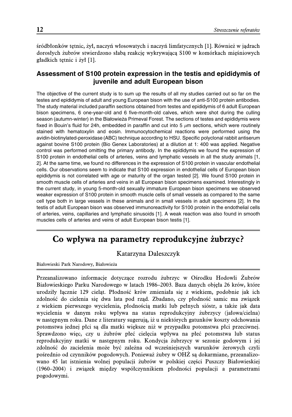śródbłonków tętnic, żył, naczyń włosowatych i naczyń limfatycznych [1]. Również w jądrach dorosłych żubrów stwierdzono słabą reakcję wykrywającą S100 w komórkach mięśniowych gładkich tętnic i żył [1].

# **Assessment of S100 protein expression in the testis and epididymis of juvenile and adult European bison**

The objective of the current study is to sum up the results of all my studies carried out so far on the testes and epididymis of adult and young European bison with the use of anti-S100 protein antibodies. The study material included paraffin sections obtained from testes and epididymis of 6 adult European bison specimens, 6 one-year-old and 6 five-month-old calves, which were shot during the culling season (autumn-winter) in the Białowieża Primeval Forest. The sections of testes and epididymis were fixed in Bouin's fluid for 24h, embedded in paraffin and cut into 5  $\mu$ m sections, which were routinely stained with hematoxylin and eosin. Immunocytochemical reactions were performed using the avidin-biotinylated-peroxidase (ABC) technique according to HSU. Specific polyclonal rabbit antiserum against bovine S100 protein (Bio Genex Laboratories) at a dilution at 1: 400 was applied. Negative control was performed omitting the primary antibody. In the epididymis we found the expression of S100 protein in endothelial cells of arteries, veins and lymphatic vessels in all the study animals [1, 2]. At the same time, we found no differences in the expression of S100 protein in vascular endothelial cells. Our observations seem to indicate that S100 expression in endothelial cells of European bison epididymis is not correlated with age or maturity of the organ tested [2]. We found S100 protein in smooth muscle cells of arteries and veins in all European bison specimens examined. Interestingly in the current study, in young 5-month-old sexually immature European bison specimens we observed weaker expression of S100 protein in smooth muscle cells of small vessels as compared to the same cell type both in large vessels in these animals and in small vessels in adult specimens [2]. In the testis of adult European bison was observed immunoreactivity for S100 protein in the endothelial cells of arteries, veins, capillaries and lymphatic sinusoids [1]. A weak reaction was also found in smooth muscles cells of arteries and veins of adult European bison testis [1].

# **Co wpływa na parametry reprodukcyjne żubrzyc?**

### Katarzyna Daleszczyk

Białowieski Park Narodowy, Białowieża

Przeanalizowano informacje dotyczące rozrodu żubrzyc w Ośrodku Hodowli Żubrów Białowieskiego Parku Narodowego w latach 1986–2003. Baza danych objęła 26 krów, które urodziły łącznie 129 cieląt. Płodność krów zmieniała się z wiekiem, podobnie jak ich zdolność do cielenia się dwa lata pod rząd. Zbadano, czy płodność samic ma związek z wiekiem pierwszego wycielenia, płodnością matki lub pełnych sióstr, a także jak data wycielenia w danym roku wpływa na status reprodukcyjny żubrzycy (jałowa/cielna) w następnym roku. Dane z literatury sugerują, iż u niektórych gatunków koszty odchowania potomstwa jednej płci są dla matki większe niż w przypadku potomstwa płci przeciwnej. Sprawdzono więc, czy u żubrów płeć cielęcia wpływa na płeć potomstwa lub status reprodukcyjny matki w następnym roku. Kondycja żubrzycy w sezonie godowym i jej zdolność do zacielenia może być zależna od wcześniejszych warunków żerowych czyli pośrednio od czynników pogodowych. Ponieważ żubry w OHŻ są dokarmiane, przeanalizowano 45 lat istnienia wolnej populacji żubrów w polskiej części Puszczy Białowieskiej (1960–2004) i związek między współczynnikiem płodności populacji a parametrami pogodowymi.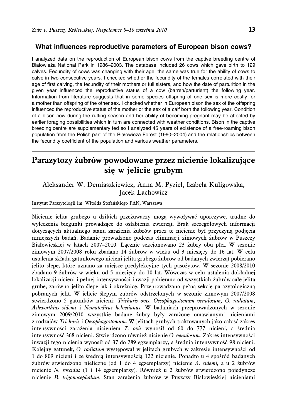### **What influences reproductive parameters of European bison cows?**

I analyzed data on the reproduction of European bison cows from the captive breeding centre of Białowieża National Park in 1986–2003. The database included 26 cows which gave birth to 129 calves. Fecundity of cows was changing with their age; the same was true for the ability of cows to calve in two consecutive years. I checked whether the fecundity of the females correlated with their age of first calving, the fecundity of their mothers or full sisters, and how the date of parturition in the given year influenced the reproductive status of a cow (barren/parturient) the following year. Information from literature suggests that in some species offspring of one sex is more costly for a mother than offspring of the other sex. I checked whether in European bison the sex of the offspring influenced the reproductive status of the mother or the sex of a calf born the following year. Condition of a bison cow during the rutting season and her ability of becoming pregnant may be affected by earlier foraging possibilities which in turn are connected with weather conditions. Bison in the captive breeding centre are supplementary fed so I analyzed 45 years of existence of a free-roaming bison population from the Polish part of the Białowieza Forest (1960–2004) and the relationships between the fecundity coefficient of the population and various weather parameters.

# **Parazytozy żubrów powodowane przez nicienie lokalizujące się w jelicie grubym**

Aleksander W. Demiaszkiewicz, Anna M. Pyziel, Izabela Kuligowska, Jacek Lachowicz

#### Instytut Parazytologii im. Witolda Stefańskiego PAN, Warszawa

Nicienie jelita grubego u dzikich przeżuwaczy mogą wywoływać uporczywe, trudne do wyleczenia biegunki prowadzące do osłabienia zwierząt. Brak szczegółowych informacji dotyczących aktualnego stanu zarażenia żubrów przez te nicienie był przyczyną podjęcia niniejszych badań. Badanie prowadzono podczas eliminacji zimowych żubrów w Puszczy Białowieskiej w latach 2007–2010. Łącznie sekcjonowano 23 żubry obu płci. W sezonie zimowym 2007/2008 roku zbadano 14 żubrów w wieku od 3 miesięcy do 16 lat. W celu ustalenia składu gatunkowego nicieni jelita grubego żubrów od badanych zwierząt pobierano jelito ślepe, które uznano za miejsce predylekcyjne tych pasożytów. W sezonie 2008/2010 zbadano 9 żubrów w wieku od 5 miesięcy do 10 lat. Wówczas w celu ustalenia dokładnej lokalizacji nicieni i pełnej intensywności inwazji pobierano od wszystkich żubrów całe jelita grube, zarówno jelito ślepe jak i okrężnicę. Przeprowadzano pełną sekcję parazytologiczną pobranych jelit. W jelicie ślepym żubrów odstrzelonych w sezonie zimowym 2007/2008 stwierdzono 5 gatunków nicieni: Trichuris ovis, Oesophagostomum venulosum, O. radiatum, Ashworthius sidemi i Nematodirus helvetianus. W badaniach przeprowadzonych w sezonie zimowym 2009/2010 wszystkie badane żubry były zarażone omawianymi nicieniami z rodzajów Trichuris i Oesophagostomum. W jelitach grubych traktowanych jako całość zakres intensywności zarażenia nicieniem T. ovis wynosił od 60 do 777 nicieni, a średnia intensywność 368 nicieni. Stwierdzono również nicienie O. venulosum. Zakres intensywności inwazji tego nicienia wynosił od 37 do 289 egzemplarzy, a średnia intensywność 98 nicieni. Kolejny gatunek, O. radiatum występował w jelitach grubych w zakresie intensywności od 1 do 809 nicieni i ze średnią intensywnością 122 nicienie. Ponadto u 4 spośród badanych żubrów stwierdzono nieliczne (od 1 do 4 egzemplarzy) nicienie A. sidemi, a u 2 żubrów nicienie N. roscidus (1 i 14 egzemplarzy). Również u 2 żubrów stwierdzono pojedyncze nicienie B. trigonocephalum. Stan zarażenia żubrów w Puszczy Białowieskiej nicieniami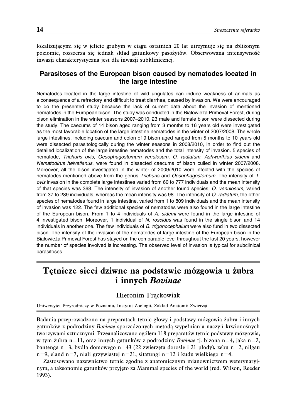lokalizującymi się w jelicie grubym w ciągu ostatnich 20 lat utrzymuje się na zbliżonym poziomie, rozszerza się jednak skład gatunkowy pasożytów. Obserwowana intensywność inwazji charakterystyczna jest dla inwazji subklinicznej.

# **Parasitoses of the European bison caused by nematodes located in the large intestine**

Nematodes located in the large intestine of wild ungulates can induce weakness of animals as a consequence of a refractory and difficult to treat diarrhea, caused by invasion. We were encouraged to do the presented study because the lack of current data about the invasion of mentioned nematodes in the European bison. The study was conducted in the Białowieża Primeval Forest, during bison elimination in the winter seasons 2007–2010. 23 male and female bison were dissected during the study. The caecums of 14 bison aged ranging from 3 months to 16 years old were investigated as the most favorable location of the large intestine nematodes in the winter of 2007/2008. The whole large intestines, including caecum and colon of 9 bison aged ranged from 5 months to 10 years old were dissected parasitologically during the winter seasons in 2008/2010, in order to find out the detailed localization of the large intestine nematodes and the total intensity of invasion. 5 species of nematode, *Trichuris ovis, Oesophagostomum venulosum, O. radiatum, Ashworthius sidemi* and *Nematodirus helvetianus*, were found in dissected caecums of bison culled in winter 2007/2008. Moreover, all the bison investigated in the winter of 2009/2010 were infected with the species of nematodes mentioned above from the genus *Trichuris* and *Oesophagostomum*. The intensity of *T. ovis* invasion in the complete large intestines varied from 60 to 777 individuals and the mean intensity of that species was 368. The intensity of invasion of another found species, *O. venulosum,* varied from 37 to 289 individuals, whereas the mean intensity was 98. The intensity of *O. radiatum,* the other species of nematodes found in large intestine, varied from 1 to 809 individuals and the mean intensity of invasion was 122. The few additional species of nematodes were also found in the large intestine of the European bison. From 1 to 4 individuals of *A. sidemi* were found in the large intestine of 4 investigated bison. Moreover, 1 individual of *N. roscidus* was found in the single bison and 14 individuals in another one. The few individuals of *B. trigonocephalum* were also fund in two dissected bison. The intensity of the invasion of the nematodes of large intestine of the European bison in the Białowieża Primeval Forest has stayed on the comparable level throughout the last 20 years, however the number of species involved is increasing. The observed level of invasion is typical for subclinical parasitoses.

# **Tętnicze sieci dziwne na podstawie mózgowia u żubra i innych Bovinae**

### Hieronim Frąckowiak

Uniwersytet Przyrodniczy w Poznaniu, Instytut Zoologii, Zakład Anatomii Zwierząt

Badania przeprowadzono na preparatach tętnic głowy i podstawy mózgowia żubra i innych gatunków z podrodziny Bovinae sporządzonych metodą wypełniania naczyń krwionośnych tworzywami sztucznymi. Przeanalizowano ogółem 118 preparatów tętnic podstawy mózgowia, w tym żubra n=11, oraz innych gatunków z podrodziny Bovinae tj. bizona n=4, jaka n=2, bantenga n=3, bydła domowego n=43 (22 zwierzęta dorosłe i 21 płody), zebu n=2, nilgau n=9, eland n=7, niali grzywiastej n=21, sitatungi n=12 i kudu wielkiego n=4.

Zastosowano nazewnictwo tętnic zgodne z anatomicznym mianownictwem weterynaryjnym, a taksonomię gatunków przyjęto za Mammal species of the world (red. Wilson, Reeder 1993).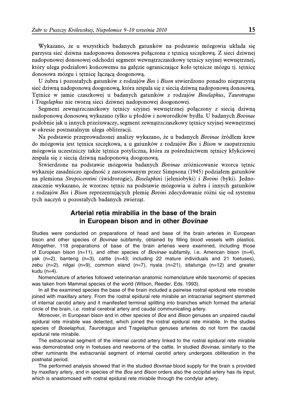Wykazano, że u wszystkich badanych gatunków na podstawie mózgowia układa się parzysta sieć dziwna nadoponowa donosowa połączona z tętnicą szczękową. Z sieci dziwnej nadoponowej donosowej odchodzi segment wewnątrzczaszkowy tętnicy szyjnej wewnętrznej, który ulega podziałowi końcowemu na gałęzie ograniczające koło tętnicze mózgu tj. tętnicę donosowa mózgu i tętnicę łączącą doogonową.

U żubra i pozostałych gatunków z rodzajów Bos i Bison stwierdzono ponadto nieparzystą sieć dziwną nadoponową doogonową, która zespala się z siecią dziwną nadoponową donosową. Tętnice w jamie czaszkowej u badanych gatunków z rodzajów Boselaphus, Taurotragus i Tragelaphus nie tworzą sieci dziwnej nadoponowej doogonowej.

Segment zewnątrzczaszkowy tętnicy szyjnej wewnętrznej połączony z siecią dziwną nadoponową donosową wykazano tylko u płodów i noworodków bydła. U badanych Bovinae podobnie jak u innych przeżuwaczy, segment zewnątrzczaszkowy tętnicy szyjnej wewnętrznej w okresie postnatalnym ulega obliteracji.

Na podstawie przeprowadzonej analizy wykazano, że u badanych Bovinae źródłem krew do mózgowia jest tętnica szczękowa, a u gatunków z rodzajów Bos i Bison w zaopatrzeniu mózgowia uczestniczy także tętnica potyliczna, która za pośrednictwem tętnicy kłykciowej zespala się z siecią dziwną nadoponową doogonową.

Stwierdzone na podstawie mózgowia badanych Bovinae zróżnicowanie wzorca tętnic wykazuje zasadniczo zgodność z zastosowanym przez Simpsona (1945) podziałem gatunków na plemiona Strepsicerotini (świdrorogie), Boselaphini (jeleniobyki) i Bovini (byki). Jednoznacznie wykazano, że wzorzec tętnic na podstawie mózgowia u żubra i innych gatunków z rodzajów Bos i Bison reprezentujących plemię Bovini zdecydowanie różni się od systemu tych naczyń u pozostałych badanych zwierząt.

# **Arterial retia mirabilia in the base of the brain in European bison and in other** *Bovinae*

Studies were conducted on preparations of head and base of the brain arteries in European bison and other species of *Bovinae* subfamily, obtained by filling blood vessels with plastics. Altogether, 118 preparations of base of the brain arteries were examined, including those of European bison (n=11), and other species of *Bovinae* subfamily, i.e. American bison (n=4), yak (n=2), banteng (n=3), cattle (n=43; including 22 mature individuals and 21 foetuses), zebu  $(n=2)$ , nilgai  $(n=9)$ , common eland  $(n=7)$ , nyala  $(n=21)$ , sitatunga  $(n=12)$  and greater kudu (n=4).

Nomenclature of arteries followed veterinarian anatomic nomenclature while taxonomic of species was taken from Mammal species of the world (Wilson, Reeder, Eds. 1993).

In all the examined species the base of the brain included a pairwise rostral epidural rete mirabile joined with maxillary artery. From the rostral epidural rete mirabile an intracranial segment stemmed of internal carotid artery and it manifested terminal splitting into branches which formed the arterial circle of the brain, i.e. rostral cerebral artery and caudal communicating artery.

Moreover, in European bison and in other species of *Bos* and *Bison* genuses an unpaired caudal epidural rete mirabile was detected, which joined the rostral epidural rete mirabile. In the studies species of *Boselaphus*, *Taurotragus* and T*ragelaphus* genuses arteries do not form the caudal epidural rete mirabile.

The extracranial segment of the internal carotid artery linked to the rostral epidural rete mirabile was demonstrated only in foetuses and newborns of the cattle. In studied *Bovinae,* similarly to the other ruminants the extracranial segment of internal carotid artery undergoes obliteration in the postnatal period.

The performed analysis showed that in the studied *Bovinae* blood supply for the brain s provided by maxillary artery, and in species of the *Bos* and *Bison* orders also the occipital artery has its input, which is anastomosed with rostral epidural rete mirabile through the condylar artery.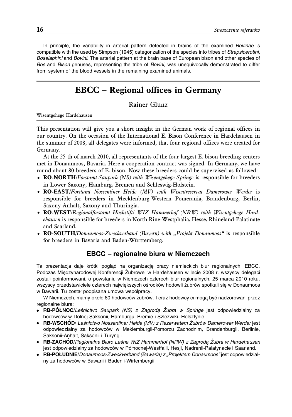In principle, the variability in arterial pattern detected in brains of the examined *Bovinae* is compatible with the used by Simpson (1945) categorization of the species into tribes of *Strepsicerotini*, *Boselaphini* and *Bovini*. The arterial pattern at the brain base of European bison and other species of *Bos* and *Bison* genuses, representing the tribe of *Bovini,* was unequivocally demonstrated to differ from system of the blood vessels in the remaining examined animals.

# **EBCC – Regional offices in Germany**

### Rainer Glunz

Wisentgehege Hardehausen

This presentation will give you a short insight in the German work of regional offices in our country. On the occasion of the International E. Bison Conference in Hardehausen in the summer of 2008, all delegates were informed, that four regional offices were created for Germany.

At the 25 th of march 2010, all representants of the four largest E. bison breeding centers met in Donaumoos, Bavaria. Here a cooperation contract was signed. In Germany, we have round about 80 breeders of E. bison. Now these breeders could be supervised as followed:

- **RO-NORTH**/Forstamt Saupark (NS) with Wisentgehege Springe is responsible for breeders in Lower Saxony, Hamburg, Bremen and Schleswig-Holstein.
- **RO-EAST**/Forstamt Nossentiner Heide (MV) with Wisentreservat Damerower Werder is responsible for breeders in Mecklenburg-Western Pomerania, Brandenburg, Berlin, Saxony-Anhalt, Saxony and Thuringia.
- **RO-WEST**/Regionalforstamt Hochstift/ WIZ Hammerhof (NRW) with Wisentgehege Hardehausen is responsible for breeders in North Rine-Westphalia, Hesse, Rhineland-Palatinate and Saarland.
- **RO-SOUTH**/Donaumoos-Zweckverband (Bayern) with "Projekt Donaumoos" is responsible for breeders in Bavaria and Baden-Württemberg.

### **EBCC – regionalne biura w Niemczech**

Ta prezentacja daje krótki pogląd na organizację pracy niemieckich biur regionalnych. EBCC. Podczas Międzynarodowej Konferencji Żubrowej w Hardehausen w lecie 2008 r. wszyscy delegaci zostali poinformowani, o powstaniu w Niemczech czterech biur regionalnych. 25 marca 2010 roku, wszyscy przedstawiciele czterech największych ośrodków hodowli żubrów spotkali się w Donaumoos w Bawarii. Tu został podpisana umowa współpracy.

W Niemczech, mamy około 80 hodowców żubrów. Teraz hodowcy ci mogą być nadzorowani przez regionalne biura:

- **RB-PÓŁNOC**/*Leśnictwo Saupark (NS) z Zagrodą Żubra w Springe* jest odpowiedzialny za hodowców w Dolnej Saksonii, Hamburgu, Bremie i Szlezwiku-Holsztynie.
- **RB-WSCHÓD**/ *Leśnictwo Nossentiner Heide (MV) z Rezerwatem Żubrów Damerower Werder* jest odpowiedzialny za hodowców w Meklemburgii-Pomorzu Zachodnim, Brandenburgii, Berlinie, Saksonii-Anhalt, Saksonii i Turyngii.
- **RB-ZACHO´ <sup>D</sup>**/*Regionalne Biuro Les´ne WIZ Hammerhof (NRW) z Zagroda˛ Z˙ubra w Hardehausen* jest odpowiedzialny za hodowców w Północnej-Westfalii, Hesji, Nadrenii-Palatynacie i Saarland.
- **RB-POŁUDNIE**/*Donaumoos-Zweckverband (Bawaria) z "Projektem Donaumoos"* jest odpowiedzialny za hodowców w Bawarii i Badenii-Wirtembergii.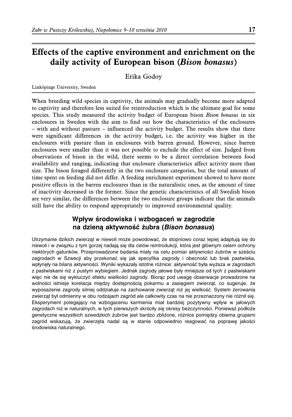# **Effects of the captive environment and enrichment on the daily activity of European bison (Bison bonasus)**

Erika Godoy

Linköpings University, Sweden

When breeding wild species in captivity, the animals may gradually become more adapted to captivity and therefore less suited for reintroduction which is the ultimate goal for some species. This study measured the activity budget of European bison Bison bonasus in six enclosures in Sweden with the aim to find out how the characteristics of the enclosures – with and without pasture – influenced the activity budget. The results show that there were significant differences in the activity budget, i.e. the activity was higher in the enclosures with pasture than in enclosures with barren ground. However, since barren enclosures were smaller than it was not possible to exclude the effect of size. Judged from observations of bison in the wild, there seems to be a direct correlation between food availability and ranging, indicating that enclosure characteristics affect activity more than size. The bison foraged differently in the two enclosure categories, but the total amount of time spent on feeding did not differ. A feeding enrichment experiment showed to have more positive effects in the barren enclosures than in the naturalistic ones, as the amount of time of inactivity decreased in the former. Since the genetic characteristics of all Swedish bison are very similar, the differences between the two enclosure groups indicate that the animals still have the ability to respond appropriately to improved environmental quality.

# Wpływ środowiska i wzbogaceń w zagrodzie **na dziena˛ aktywnos´ c´ z˙ubra (***Bison bonasus***)**

Utrzymanie dzikich zwierząt w niewoli może powodować, że stopniowo coraz lepiej adaptują się do niewoli i w związku z tym gorzej nadają się dla celów reintrodukcji, która jest głównym celem ochrony niektórych gatunków. Przeprowadzone badania miały na celu pomiar aktywności żubrów w sześciu zagrodach w Szwecji aby przekonać się jak specyfika zagrody i obecność lub brak pastwiska, wpłynęły na bilans aktywności. Wyniki wykazały istotne różnice: aktywność była wyższa w zagrodach z pastwiskami niz˙ z pustym wybiegiem. Jednak zagrody jałowe były mniejsze od tych z pastwiskami więc nie da się wykluczyć efektu wielkości zagrody. Biorąc pod uwagę obserwacje prowadzone na wolności istnieje korelacja między dostępnością pokarmu a zasięgiem zwierząt, co sugeruje, że wyposażenie zagrody silniej oddziałuje na zachowanie zwierząt niż jej wielkość. System żerowania zwierząt był odmienny w obu rodzajach zagród ale całkowity czas na nie przeznaczony nie różnił się. Eksperyment polegaja˛cy na wzbogaceniu karmienia miał bardziej pozytywny wpływ w jałowych zagrodach niż w naturalnych, w tych pierwszych skróciły się okresy bezczynności. Ponieważ podłoże genetyczne wszystkich szwedzkich żubrów jest bardzo zbliżone, różnice pomiędzy obiema grupami zagród wskazują, że zwierzęta nadal są w stanie odpowiednio reagować na poprawę jakości środowiska naturalnego.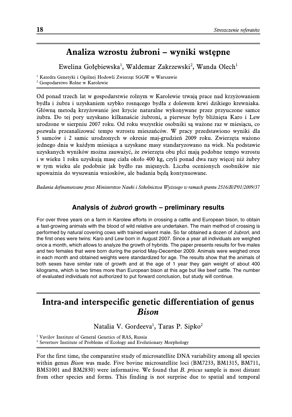# **Analiza wzrostu żubroni – wyniki wstępne**

Ewelina Gołębiewska<sup>1</sup>, Waldemar Zakrzewski<sup>2</sup>, Wanda Olech<sup>1</sup>

<sup>1</sup> Katedra Genetyki i Ogólnej Hodowli Zwierząt SGGW w Warszawie

<sup>2</sup> Gospodarstwo Rolne w Karolewie

Od ponad trzech lat w gospodarstwie rolnym w Karolewie trwają prace nad krzyżowaniem bydła i żubra i uzyskaniem szybko rosnącego bydła z dolewem krwi dzikiego krewniaka. Główną metodą krzyżowanie jest krycie naturalne wykonywane przez przyuczone samce żubra. Do tej pory uzyskano kilkanaście żubroni, a pierwsze były bliźnięta Karo i Lew urodzone w sierpniu 2007 roku. Od roku wszystkie osobniki są ważone raz w miesiącu, co pozwala przeanalizować tempo wzrostu mieszańców. W pracy przedstawiono wyniki dla 5 samców i 2 samic urodzonych w okresie maj-grudzień 2009 roku. Zwierzęta ważono jednego dnia w każdym miesiąca a uzyskane masy standaryzowano na wiek. Na podstawie uzyskanych wyników można zauważyć, że zwierzęta obu płci mają podobne tempo wzrostu i w wieku 1 roku uzyskują masę ciała około 400 kg, czyli ponad dwa razy więcej niż żubry w tym wieku ale podobnie jak bydło ras mięsnych. Liczba ocenionych osobników nie upoważnia do wysuwania wniosków, ale badania będą kontynuowane.

Badania dofinansowane przez Ministerstwo Nauki i Szkolnictwa Wyższego w ramach grantu 2516/B/P01/2009/37

### **Analysis of** *z˙ubron´* **growth – preliminary results**

For over three years on a farm in Karolew efforts in crossing a cattle and European bison, to obtain a fast-growing animals with the blood of wild relative are undertaken. The main method of crossing is performed by natural covering cows with trained wisent male. So far obtained a dozen of *z˙ubron´*, and the first ones were twins: Karo and Lew born in August 2007. Since a year all individuals are weighed once a month, which allows to analyze the growth of hybrids. The paper presents results for five males and two females that were born during the period May-December 2009. Animals were weighed once in each month and obtained weights were standardized for age. The results show that the animals of both sexes have similar rate of growth and at the age of 1 year they gain weight of about 400 kilograms, which is two times more than European bison at this age but like beef cattle. The number of evaluated individuals not authorized to put forward conclusion, but study will continue.

# **Intra-and interspecific genetic differentiation of genus Bison**

Natalia V. Gordeeva<sup>1</sup>, Taras P. Sipko<sup>2</sup>

<sup>1</sup> Vavilov Institute of General Genetics of RAS, Russia

<sup>2</sup> Severtsov Institute of Problems of Ecology and Evolutionary Morphology

For the first time, the comparative study of microsatellite DNA variability among all species within genus *Bison* was made. Five bovine microsatellite loci (BM7233, BM1315, BM711, BMS1001 and BM2830) were informative. We found that B. priscus sample is most distant from other species and forms. This finding is not surprise due to spatial and temporal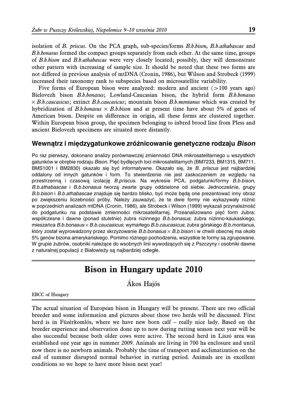isolation of B. priscus. On the PCA graph, sub-species/forms B.b.bison, B.b.athabascae and B.b.bonasus formed the compact groups separately from each other. At the same time, groups of B.b.bison and B.b.athabascae were very closely located; possibly, they will demonstrate other pattern with increasing of sample size. It should be noted that these two forms are not differed in previous analysis of mtDNA (Cronin, 1986), but Wilson and Strobeck (1999) increased their taxonomy rank to subspecies based on microsatellite variability.

Five forms of European bison were analyzed: modern and ancient  $( > 100 \text{ years ago})$ Bielovezh bison B.b.bonasus; Lowland-Caucasian bison, the hybrid form B.b.bonasus  $\times$  B.b.caucasicus; extinct B.b.caucasicus; mountain bison B.b.montanus which was created by hybridization of B.b.bonasus  $\times$  B.b.bison and at present time have about 5% of genes of American bison. Despite on difference in origin, all these forms are clustered together. Within European bison group, the specimen belonging to inbred brood line from Pless and ancient Bielovezh specimens are situated more distantly.

### **Wewna˛trz i mie˛dzygatunkowe zro´ z˙nicowanie genetyczne rodzaju** *Bison*

Po raz pierwszy, dokonano analizy porównawczej zmienności DNA mikrosatelitarnego u wszystkich gatunków w obrębie rodzaju Bison. Pięć bydlęcych loci mikrosatelitarnych (BM7233, BM1315, BM711, BMS1001 i BM2830) okazało się być informatywne. Okazało się, że *B. priscus* jest najbardziej oddalony od innych gatunków i form. To stwierdzenie nie jest zaskoczeniem ze względu na przestrzenna˛ i czasowa˛ izolacje˛ *B.priscus*. Na wykresie PCA, podgatunki/formy *B.b.bison*, *B.b.athabascae* i *B.b.bonasus* tworza˛ zwarte grupy oddzielone od siebie. Jednoczes´nie, grupy *B.b.bison* i *B.b.athabascae* znajduje sie˛ bardzo blisko, byc´ moz˙e be˛da˛ one prezentowac´ inny obraz po zwiększeniu liczebności próby. Należy zauważyć, że te dwie formy nie wykazywały różnic w poprzednich analizach mtDNA (Cronin, 1986), ale Strobeck i Wilson (1999) wykazali przynależność do podgatunku na podstawie zmienności mikrosatelitarnej. Przeanalizowano pieć form żubra: współczesne i dawne (ponad stuletnie) żubra nizinnego *B.b.bonasus*; żubra nizinno-kaukaskiego, mieszańca *B.b.bonasus* × *B.b.caucasicus*; wymarłego *B.b.caucasicus*; żubra górskiego *B.b.montanus*, który został wyprowadzony przez skrzyżowanie B.b.bonasus × B.b.bison i w chwili obecnej ma około 5% genów bizona amerykań skiego. Pomimo różnego pochodzenia, wszystkie te formy są zgrupowane. W grupie żubrów, osobniki należące do wsobnych linii wywodzących się z Pszczyny i osobniki dawne z naturalnej populacji z Białowieży są najbardziej odległe.

# **Bison in Hungary update 2010**

Ákos Hajós

EBCC of Hungary

The actual situation of European bison in Hungary will be present. There are two official breeder and some information and pictures about those two herds will be discussed. First herd is in Füzérkomlós, where we have new born calf – really nice lady. Based on the breeder experience and observation done up to now during rutting season next year will be also successful because both older cows were active. The second herd in Liszó area was established one year ago in summer 2009. Animals are living in 700 ha enclosure and until now there is no newborn animals. Probably the time of transport and acclimatization on the end of summer disrupted normal behavior in rutting period. Animals are in excellent conditions so we hope to have more bison next year!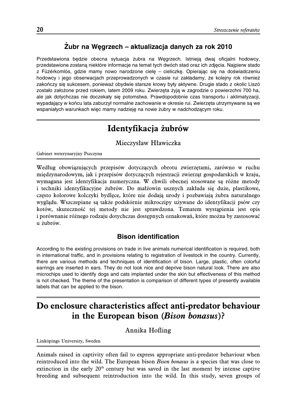# **Z˙ubr na We˛grzech – aktualizacja danych za rok 2010**

Przedstawiona będzie obecna sytuacja żubra na Węgrzech. Istnieją dwaj oficjalni hodowcy, przedstawione zostaną niektóre informacje na temat tych dwóch stad oraz ich zdjęcia. Najpierw stado z Füzérkomlós, gdzie mamy nowo narodzone cielę – cieliczkę. Opierając się na doświadczeniu hodowcy i jego obserwacjach przeprowadzonych w czasie rui zakładamy, że kolejny rok również zakończy się sukcesem, ponieważ obydwie starsze krowy były aktywne. Drugie stado z okolic Liszó zostało założone przed rokiem, latem 2009 roku. Zwierzęta żyją w zagrodzie o powierzchni 700 ha, ale jak dotychczas nie doczekały się potomstwa. Prawdopodobnie czas transportu i aklimatyzacji, wypadający w końcu lata zaburzył normalne zachowanie w okresie rui. Zwierzeta utrzymywane są we wspaniałych warunkach więc mamy nadzieję na nowe żubry w nadchodzącym roku.

# **Identyfikacja żubrów**

### Mieczysław Hławiczka

Gabinet weterynaryjny Pszczyna

Według obowiązujących przepisów dotyczących obrotu zwierzętami, zarówno w ruchu międzynarodowym, jak i przepisów dotyczących rejestracji zwierząt gospodarskich w kraju, wymagana jest identyfikacja numeryczna. W chwili obecnej stosowane są różne metody i techniki identyfikacyjne żubrów. Do małżowin usznych zakłada się duże, plastikowe, często kolorowe kolczyki bydlęce, które nie dodają urody i pozbawiają żubra naturalnego wyglądu. Wszczepiane są także podskórnie mikroczipy używane do identyfikacji psów czy kotów, skuteczność tej metody nie jest sprawdzona. Tematem wystąpienia jest opis i porównanie różnego rodzaju dotychczas dostępnych oznakowań, które można by zastosować u żubrów.

### **Bison identification**

According to the existing provisions on trade in live animals numerical identification is required, both in international traffic, and in provisions relating to registration of livestock in the country. Currently, there are various methods and techniques of identification of bison. Large, plastic, often colorful earrings are inserted in ears. They do not look nice and deprive bison natural look. There are also microchips used to identify dogs and cats implanted under the skin but effectiveness of this method is not checked. The theme of the presentation is comparison of different types of presently available labels that can be applied to the bison.

# **Do enclosure characteristics affect anti-predator behaviour in the European bison (Bison bonasus)?**

Annika Hofling

Linköpings University, Sweden

Animals raised in captivity often fail to express appropriate anti-predator behaviour when reintroduced into the wild. The European bison *Bison bonasus* is a species that was close to extinction in the early  $20<sup>th</sup>$  century but was saved in the last moment by intense captive breeding and subsequent reintroduction into the wild. In this study, seven groups of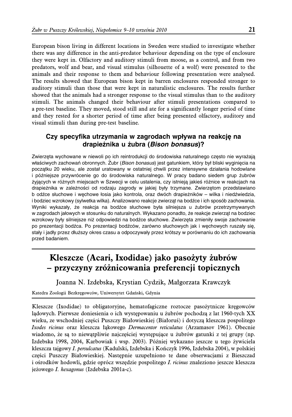European bison living in different locations in Sweden were studied to investigate whether there was any difference in the anti-predator behaviour depending on the type of enclosure they were kept in. Olfactory and auditory stimuli from moose, as a control, and from two predators, wolf and bear, and visual stimulus (silhouette of a wolf) were presented to the animals and their response to them and behaviour following presentation were analysed. The results showed that European bison kept in barren enclosures responded stronger to auditory stimuli than those that were kept in naturalistic enclosures. The results further showed that the animals had a stronger response to the visual stimulus than to the auditory stimuli. The animals changed their behaviour after stimuli presentations compared to a pre-test baseline. They moved, stood still and ate for a significantly longer period of time and they rested for a shorter period of time after being presented olfactory, auditory and visual stimuli than during pre-test baseline.

## **Czy specyfika utrzymania w zagrodach wpływa na reakcje˛ na drapiez˙nika u z˙ubra (***Bison bonasus***)?**

Zwierzęta wychowane w niewoli po ich reintrodukcji do środowiska naturalnego często nie wyrażają właściwych zachowań obronnych. Żubr (*Bison bonasus*) jest gatunkiem, który był bliski wyginięcia na początku 20 wieku, ale został uratowany w ostatniej chwili przez intensywne działania hodowlane i późniejsze przywrócenie go do środowiska naturalnego. W pracy badano siedem grup żubrów z˙yja˛cych w ro´ z˙nych miejscach w Szwecji w celu ustalenia, czy istnieja˛ jakies´ ro´ z˙nice w reakcjach na drapieżnika w zależności od rodzaju zagrody w jakiej były trzymane. Zwierzętom przedstawiano b odźce słuchowe i węchowe łosia jako kontrola, oraz dwóch drapieżników – wilka i niedźwiedzia, i bodziec wzrokowy (sylwetka wilka). Analizowano reakcje zwierząt na bodźce i ich sposób zachowania. Wyniki wykazały, że reakcja na bodźce słuchowe była silniejsza u żubrów przetrzymywanych w zagrodach jałowych w stosunku do naturalnych. Wykazano ponadto, że reakcje zwierząt na bodziec wzrokowy były silniejsze niż odpowiedzi na bodźce słuchowe. Zwierzęta zmieniły swoje zachowanie po prezentacji bodźca. Po prezentacji bodźców, zarówno słuchowych jak i węchowych ruszały się, stały i jadły przez dłuższy okres czasu a odpoczywały przez krótszy w porównaniu do ich zachowania przed badaniem.

# **Kleszcze (Acari, Ixodidae) jako pasożyty żubrów – przyczyny zróżnicowania preferencji topicznych**

Joanna N. Izdebska, Krystian Cydzik, Małgorzata Krawczyk

Katedra Zoologii Bezkręgowców, Uniwersytet Gdański, Gdynia

Kleszcze (Ixodidae) to obligatoryjne, hematofagiczne roztocze pasożytnicze kręgowców lądowych. Pierwsze doniesienia o ich występowaniu u żubrów pochodzą z lat 1960-tych XX wieku, ze wschodniej części Puszczy Białowieskiej (Białoruś) i dotyczą kleszcza pospolitego Ixodes ricinus oraz kleszcza łąkowego Dermacentor reticulatus (Arzamasov 1961). Obecnie wiadomo, że są to niewątpliwie najczęściej występujące u żubrów gatunki z tej grupy (np. Izdebska 1998, 2004, Karbowiak i wsp. 2003). Później wykazano jeszcze u tego żywiciela kleszcza tajgowy I. persulcatus (Kadulski, Izdebska i Kończyk 1996, Izdebska 2004), w polskiej części Puszczy Białowieskiej. Następnie uzupełniono te dane obserwacjami z Bieszczad i ośrodków hodowli, gdzie oprócz wszędzie pospolitego I. ricinus znaleziono jeszcze kleszcza jeżowego I. hexagonus (Izdebska 2001a-c).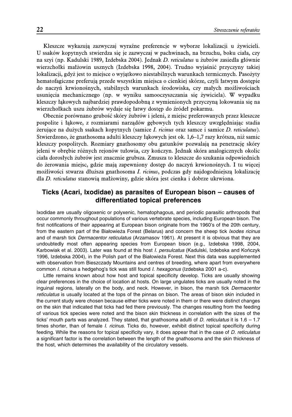Kleszcze wykazują zazwyczaj wyraźne preferencje w wyborze lokalizacji u żywicieli. U ssaków kopytnych stwierdza się je zazwyczaj w pachwinach, na brzuchu, boku ciała, czy na szyi (np. Kadulski 1989, Izdebska 2004). Jednak D. reticulatus u żubrów zasiedla głównie wierzchołki małżowin usznych (Izdebska 1998, 2004). Trudno wyjaśnić przyczyny takiej lokalizacji, gdyż jest to miejsce o wyjątkowo niestabilnych warunkach termicznych. Pasożyty hematofagiczne preferują przede wszystkim miejsca o cienkiej skórze, czyli łatwym dostępie do naczyń krwionośnych, stabilnych warunkach środowiska, czy małych możliwościach usunięcia mechanicznego (np. w wyniku samooczyszczania się żywiciela). W wypadku kleszczy łąkowych najbardziej prawdopodobną z wymienionych przyczyną lokowania się na wierzchołkach uszu żubrów wydaje się łatwy dostęp do źródeł pokarmu.

Obecnie porównano grubość skóry żubrów i jeleni, z miejsc preferowanych przez kleszcze pospolite i łąkowe, z rozmiarami narządów gębowych tych kleszczy uwzględniając stadia żerujące na dużych ssakach kopytnych (samice I. ricinus oraz samce i samice D. reticulatus). Stwierdzono, że gnathosoma adulti kleszczy łąkowych jest ok. 1,6–1,7 razy krótsza, niż samic kleszczy pospolitych. Rozmiary gnathosomy obu gatunków pozwalają na penetrację skóry jeleni w obrębie różnych rejonów tułowia, czy kończyn. Jednak skóra analogicznych okolic ciała dorosłych żubrów jest znacznie grubsza. Zmusza to kleszcze do szukania odpowiednich do żerowania miejsc, gdzie mają zapewniony dostęp do naczyń krwionośnych. I tu więcej możliwości stwarza dłuższa gnathosoma I. ricinus, podczas gdy najdogodniejszą lokalizację dla D. reticulatus stanowią małżowiny, gdzie skóra jest cienka i dobrze ukrwiona.

### **Ticks (Acari, Ixodidae) as parasites of European bison – causes of differentiated topical preferences**

Ixodidae are usually oligoxenic or polyxenic, hematophagous, and periodic parasitic arthropods that occur commonly throughout populations of various vertebrate species, including European bison. The first notifications of their appearing at European bison originate from the 1960's of the 20th century, from the eastern part of the Białowieża Forest (Belarus) and concern the sheep tick *Ixodes ricinus* and of marsh tick *Dermacentor reticulatus* (Arzamasov 1961). At present it is obvious that they are undoubtedly most often appearing species from European bison (e.g., Izdebska 1998, 2004, Karbowiak et al. 2003). Later was found at this host *I. persulcatus* (Kadulski, Izdebska and Kończyk 1996, Izdebska 2004), in the Polish part of the Białowieża Forest. Next this data was supplemented with observation from Bieszczady Mountains and centres of breeding, where apart from everywhere common *I. ricinus* a hedgehog's tick was still found *I. hexagonus* (Izdebska 2001 a-c).

Little remains known about how host and topical specificity develop. Ticks are usually showing clear preferences in the choice of location at hosts. On large ungulates ticks are usually noted in the inguinal regions, laterally on the body, and neck. However, in bison, the marsh tick *Dermacentor reticulatus* is usually located at the tops of the pinnas on bison. The areas of bison skin included in the current study were chosen because either ticks were noted in them or there were distinct changes on the skin that indicated that ticks had fed there previously. The changes resulting from the feeding of various tick species were noted and the bison skin thickness in correlation with the sizes of the ticks' mouth parts was analyzed. They stated, that gnathosoma adulti of *D. reticulatus* it is 1.6 – 1.7 times shorter, than of female *I. ricinus*. Ticks do, however, exhibit distinct topical specificity during feeding. While the reasons for topical specificity vary, it does appear that in the case of *D. reticulatus* a significant factor is the correlation between the length of the gnathosoma and the skin thickness of the host, which determines the availability of the circulatory vessels.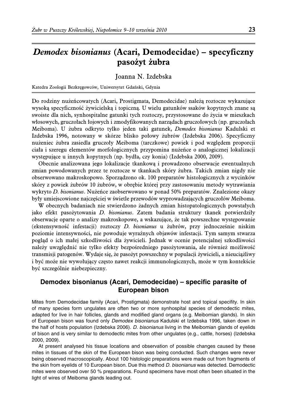# **Demodex bisonianus (Acari, Demodecidae) – specyficzny pasożyt żubra**

#### Joanna N. Izdebska

Katedra Zoologii Bezkręgowców, Uniwersytet Gdański, Gdynia

Do rodziny nużeńcowatych (Acari, Prostigmata, Demodecidae) należą roztocze wykazujące wysoką specyficzność żywicielską i topiczną. U wielu gatunków ssaków kopytnych znane są swoiste dla nich, synhospitalne gatunki tych roztoczy, przystosowane do życia w mieszkach włosowych, gruczołach łojowych i zmodyfikowanych narządach gruczołowych (np. gruczołach Meiboma). U żubra odkryto tylko jeden taki gatunek, Demodex bisonianus Kadulski et Izdebska 1996, notowany w skórze blisko połowy żubrów (Izdebska 2006). Specyficzny nużeniec żubra zasiedla gruczoły Meiboma (tarczkowe) powiek i pod względem proporcji ciała i szeregu elementów morfologicznych przypomina nużeńce o analogicznej lokalizacji występujące u innych kopytnych (np. bydła, czy konia) (Izdebska 2000, 2009).

Obecnie analizowana jego lokalizacje tkankową i prowadzono obserwacje ewentualnych zmian powodowanych przez te roztocze w tkankach skóry żubra. Takich zmian nigdy nie obserwowano makroskopowo. Sporządzono ok. 100 preparatów histologicznych z wycinków skóry z powiek żubrów 10 żubrów, w obrębie której przy zastosowaniu metody wytrawiania wykryto D. bisonianus. Nużeńce zaobserwowano w ponad 50% preparatów. Znalezione okazy były umiejscowione najczęściej w świetle przewodów wyprowadzających gruczołów Meiboma.

W obecnych badaniach nie stwierdzono żadnych zmian histopatologicznych powstałych jako efekt pasożytowania D. bisonianus. Zatem badania struktury tkanek potwierdziły obserwacje oparte o analizy makroskopowe, a wskazujące, że tak powszechne występowanie (ekstensywność infestacji) roztoczy D. bisonianus u żubrów, przy jednocześnie niskim poziomie intensywności, nie powoduje wyraźnych objawów infestacji. Tym samym stwarza pogląd o ich małej szkodliwości dla żywicieli. Jednak w ocenie potencjalnej szkodliwości należy uwzględnić nie tylko efekty bezpośredniego pasożytowania, ale również możliwość transmisji patogenów. Wydaje się, że pasożyt powszechny w populacji żywicieli, a nieuciążliwy i być może nie wywołujący często nawet reakcji immunologicznych, może w tym kontekście być szczególnie niebezpieczny.

### **Demodex bisonianus (Acari, Demodecidae) – specific parasite of European bison**

Mites from Demodecidae family (Acari, Prostigmata) demonstrate host and topical specifity. In skin of many species form ungulates are often two or more synhospital species of demodectic mites, adapted for live in hair follicles, glands and modified gland organs (e.g. Meibomian glands). In skin of European bison was found only *Demodex bisonianus* Kadulski et Izdebska 1996, taken down in the half of hosts population (Izdebska 2006). *D. bisonianus* living in the Meibomian glands of eyelids of bison and is very similar to demodectic mites from other ungulates (e.g., cattle, horses) (Izdebska 2000, 2009).

At present analysed his tissue locations and observation of possible changes caused by these mites in tissues of the skin of the European bison was being conducted. Such changes were never being observed macroscopically. About 100 histologic preparations were made out from fragments of the skin from eyelids of 10 European bison. Due this method *D. bisonianus* was detected. Demodectic mites were observed over 50 % preparations. Found specimens have most often been situated in the light of wires of Meiboma glands leading out.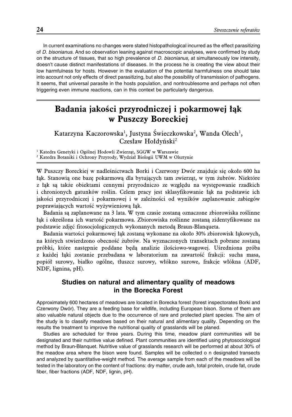In current examinations no changes were stated histopathological incurred as the effect parasitizing of *D. bisonianus*. And so observation leaning against macroscopic analyses, were confirmed by study on the structure of tissues, that so high prevalence of *D. bisonianus,* at simultaneously low intensity, doesn't cause distinct manifestations of diseases. In the process he is creating the view about their low harmfulness for hosts. However in the evaluation of the potential harmfulness one should take into account not only effects of direct parasitizing, but also the possibility of transmission of pathogens. It seems, that universal parasite in the hosts population, and nontroublesome and perhaps not often triggering even immune reactions, can in this context be particularly dangerous.

# **Badania jakości przyrodniczej i pokarmowej łąk w Puszczy Boreckiej**

Katarzyna Kaczorowska<sup>1</sup>, Justyna Świeczkowska<sup>2</sup>, Wanda Olech<sup>1</sup>, Czesław Hołdyński<sup>2</sup>

<sup>1</sup> Katedra Genetyki i Ogólnej Hodowli Zwierząt, SGGW w Warszawie <sup>2</sup> Katedra Botaniki i Ochrony Przyrody, Wydział Biologii UWM w Olsztynie

W Puszczy Boreckiej w nadleśnictwach Borki i Czerwony Dwór znajduje się około 600 ha łąk. Stanowią one bazę pokarmową dla bytujących tam zwierząt, w tym żubrów. Niektóre z łąk są także obiektami cennymi przyrodniczo ze względu na występowanie rzadkich i chronionych gatunków roślin. Celem pracy jest sklasyfikowanie łąk na podstawie ich jakości przyrodniczej i pokarmowej i w zależności od wyników zaplanowanie zabiegów poprawiających wartość wyżywieniową łąk.

Badania są zaplanowane na 3 lata. W tym czasie zostaną oznaczone zbiorowiska roślinne łąk i określona ich wartość pokarmowa. Zbiorowiska roślinne zostaną zidentyfikowane na podstawie zdjęć fitosocjologicznych wykonanych metodą Braun-Blanqueta.

Badania wartości pokarmowej łąk zostaną wykonane na około 30% zbiorowisk łąkowych, na których stwierdzono obecność żubrów. Na wyznaczonych transektach pobrane zostaną próbki, które następnie poddane będą analizie ilościowo-wagowej. Uśredniona próba z każdej łąki zostanie przebadana w laboratorium na zawartość frakcji: sucha masa, popiół surowy, białko ogólne, tłuszcz surowy, włókno surowe, frakcje włókna (ADF, NDF, lignina, pH).

### **Studies on natural and alimentary quality of meadows in the Borecka Forest**

Approximately 600 hectares of meadows are located in Borecka forest (forest inspectorates Borki and Czerwony Dwór). They are a feeding base for wildlife, including European bison. Some of them are also valuable natural objects due to the occurrence of rare and protected plant species. The aim of the study is to classify meadows based on their natural and alimentary quality. Depending on the results the treatment to improve the nutritional quality of grasslands will be planed.

Studies are scheduled for three years. During this time, meadow plant communities will be designated and their nutritive value defined. Plant communities are identified using phytosociological method by Braun-Blanquet. Nutritive value of grasslands research will be performed at about 30% of the meadow area where the bison were found. Samples will be collected o n designated transects and analyzed by quantitative-weight method. The average sample from each of the meadows will be tested in the laboratory on the content of fractions: dry matter, crude ash, total protein, crude fat, crude fiber, fiber fractions (ADF, NDF, lignin, pH).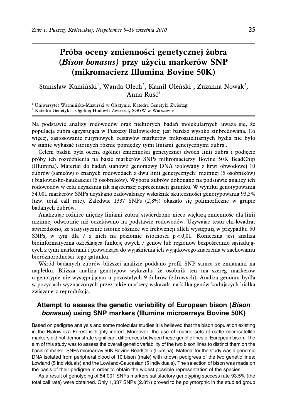# **Próba oceny zmienności genetycznej żubra (Bison bonasus) przy użyciu markerów SNP (mikromacierz Illumina Bovine 50K)**

Stanisław Kamiński<sup>1</sup>, Wanda Olech<sup>2</sup>, Kamil Oleński<sup>1</sup>, Zuzanna Nowak<sup>2</sup>, Anna Ruść<sup>1</sup>

<sup>1</sup> Uniwersytet Warmińsko-Mazurski w Olsztynie, Katedra Genetyki Zwierząt <sup>2</sup> Katedra Genetyki i Ogólnej Hodowli Zwierząt, SGGW w Warszawie

Na podstawie analizy rodowodów oraz niektórych badań molekularnych uważa się, że populacja żubra egzystująca w Puszczy Białowieskiej jest bardzo wysoko zinbredowana. Co więcej, zastosowanie rutynowych zestawów markerów mikrosatelitarnych bydła nie było w stanie wykazać istotnych różnic pomiędzy tymi liniami genetycznymi żubra..

Celem badań była ocena ogólnej zmienności genetycznej dwóch linii żubra i podjęcie próby ich rozróżnienia na bazie markerów SNPs mikromacierzy Bovine 50K BeadChip (Illumina). Materiał do badań stanowił genomowy DNA izolowany z krwi obwodowej 10 żubrów (samców) o znanych rodowodach z dwu linii genetycznych: nizinnej (5 osobników) i białowiesko-kaukaskiej (5 osobników). Wyboru żubrów dokonano na podstawie analizy ich rodowodów w celu uzyskania jak najszerszej reprezentacji gatunku. W wyniku genotypowania 54.001 markerów SNPs uzyskano zadowalający wskaźnik skuteczności genotypowania 93,5% (tzw. total call rate). Zaledwie 1337 SNPs (2,8%) okazało się polimorficzne w grupie badanych żubrów.

Analizując różnice między liniami żubra, stwierdzono nieco większą zmienność dla linii nizinnej odwrotnie niż oczekiwano na podstawie rodowodów. Używając testu chi-kwadrat stwierdzono, że statystycznie istotne różnice we frekwencji alleli występują w przypadku 50 SNPs, w tym dla 7 z nich na poziomie istotności  $p < 0.01$ . Konieczna jest analiza bioinformatyczna określająca funkcję owych 7 genów lub regionów bezpośrednio sąsiadujących z tymi markerami i prowadząca do wyjaśnienia ich wyjątkowego znaczenia w zachowaniu bioróżnorodności tego gatunku.

Wśród badanych żubrów bliższej analizie poddano profil SNP samca ze zmianami na napletku. Bliższa analiza genotypów wykazała, że osobnik ten ma szereg markerów o genotypie nie występującym u pozostałych 9 żubrów (zdrowych). Analiza genomu bydła w pozycjach wyznaczonych przez takie markery wskazała na kilka genów kodujących białka związane z reprodukcją.

### **Attempt to assess the genetic variability of European bison (***Bison bonasus***) using SNP markers (Illumina microarrays Bovine 50K)**

Based on pedigree analysis and some molecular studies it is believed that the bison population existing in the Bialowieza Forest is highly inbred. Moreover, the use of routine sets of cattle microsatellite markers did not demonstrate significant differences between these genetic lines of European bison. The aim of this study was to assess the overall genetic variability of the two bison lines to distinct them on the basis of marker SNPs microarray 50K Bovine BeadChip (Illumina). Material for the study was a genomic DNA isolated from peripheral blood of 10 bison (male) with known pedigrees of the two genetic lines: Lowland (5 individuals) and the Lowland-Caucasian (5 individuals). The selection of bison was made on the basis of their pedigree in order to obtain the widest possible representation of the species.

As a result of genotyping of 54,001 SNPs markers satisfactory genotyping success rate 93.5% (the total call rate) were obtained. Only 1,337 SNPs (2.8%) proved to be polymorphic in the studied group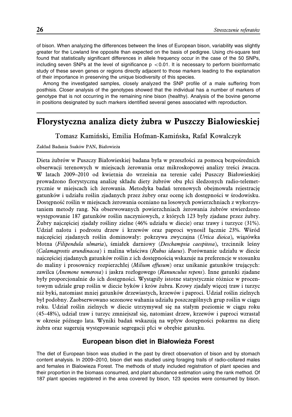of bison. When analyzing the differences between the lines of European bison, variability was slightly greater for the Lowland line opposite than expected on the basis of pedigree. Using chi-square test found that statistically significant differences in allele frequency occur in the case of the 50 SNPs, including seven SNPs at the level of significance  $p < 0.01$ . It is necessary to perform bioinformatic study of these seven genes or regions directly adjacent to those markers leading to the explanation of their importance in preserving the unique biodiversity of this species.

Among the investigated samples, closely analyzed the SNP profile of a male suffering from posthisis. Closer analysis of the genotypes showed that the individual has a number of markers of genotype that is not occurring in the remaining nine bison (healthy). Analysis of the bovine genome in positions designated by such markers identified several genes associated with reproduction.

# **Florystyczna analiza diety żubra w Puszczy Białowieskiej**

Tomasz Kamiński, Emilia Hofman-Kamińska, Rafał Kowalczyk

#### Zakład Badania Ssaków PAN, Białowieża

Dieta żubrów w Puszczy Białowieskiej badana była w przeszłości za pomocą bezpośrednich obserwacji terenowych w miejscach żerowania oraz mikroskopowej analizy treści żwacza. W latach 2009–2010 od kwietnia do września na terenie całej Puszczy Białowieskiej prowadzono florystyczną analizę składu diety żubrów obu płci śledzonych radio-telemetrycznie w miejscach ich żerowania. Metodyka badań terenowych obejmowała rejestrację gatunków i udziału roślin zjadanych przez żubry oraz ocenę ich dostępności w środowisku. Dostępność roślin w miejscach żerowania oceniano na losowych powierzchniach z wykorzystaniem metody rang. Na obserwowanych powierzchniach żerowania żubrów stwierdzono występowanie 187 gatunków roślin naczyniowych, z których 123 były zjadane przez żubry. Żubry najczęściej zjadały rośliny zielne (46% udziału w diecie) oraz trawy i turzyce (31%). Udział nalotu i podrostu drzew i krzewów oraz paproci wynosił łącznie 23%. Wśród najczęściej zjadanych roślin dominowały: pokrzywa zwyczajna (Urtica dioica), wiązówka błotna (Filipendula ulmaria), śmiałek darniowy (Deschampsia caespitosa), trzcinnik leśny (Calamagrostis arundinacea) i malina właściwa (Rubus idaeus). Porównanie udziału w diecie najczęściej zjadanych gatunków roślin z ich dostępnością wskazuje na preferencje w stosunku do maliny i prosownicy rozpierzchłej (Milium effusum) oraz unikanie gatunków trujących: zawilca (Anemone nemorosa) i jaskra rozłogowego (Ranunculus repens). Inne gatunki zjadane były proporcjonalnie do ich dostępności. Wystąpiły istotne statystycznie różnice w procentowym udziale grup roślin w diecie byków i krów żubra. Krowy zjadały więcej traw i turzyc niż byki, natomiast mniej gatunków drzewiastych, krzewów i paproci. Udział roślin zielnych był podobny. Zaobserwowano sezonowe wahania udziału poszczególnych grup roślin w ciągu roku. Udział roślin zielnych w diecie utrzymywał się na stałym poziomie w ciągu roku (45–48%), udział traw i turzyc zmniejszał się, natomiast drzew, krzewów i paproci wzrastał w okresie późnego lata. Wyniki badań wskazują na wpływ dostępności pokarmu na dietę żubra oraz sugerują występowanie segregacji płci w obrębie gatunku.

### **European bison diet in Białowieża Forest**

The diet of European bison was studied in the past by direct observation of bison and by stomach content analysis. In 2009–2010, bison diet was studied using foraging trails of radio-collared males and females in Bialowieza Forest. The methods of study included registration of plant species and their proportion in the biomass consumed, and plant abundance estimation using the rank method. Of 187 plant species registered in the area covered by bison, 123 species were consumed by bison.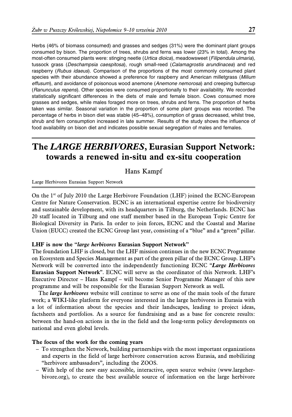Herbs (46% of biomass consumed) and grasses and sedges (31%) were the dominant plant groups consumed by bison. The proportion of trees, shrubs and ferns was lower (23% in total). Among the most-often consumed plants were: stinging neetle (*Urtica dioica*), meadowsweet (*Filipendula ulmaria*), tussock grass (*Deschampsia caespitosa*), rough small-reed (*Calamagrostis arundinacea*) and red raspberry (*Rubus idaeus*). Comparison of the proportions of the most commonly consumed plant species with their abundance showed a preference for raspberry and American milletgrass (*Milium effusum*), and avoidance of poisonous wood anemone (*Anemone nemorosa*) and creeping buttercup (*Ranunculus repens*). Other species were consumed proportionally to their availability. We recorded statistically significant differences in the diets of male and female bison. Cows consumed more grasses and sedges, while males foraged more on trees, shrubs and ferns. The proportion of herbs taken was similar. Seasonal variation in the proportion of some plant groups was recorded. The percentage of herbs in bison diet was stable (45–48%), consumption of grass decreased, whilst tree, shrub and fern consumption increased in late summer. Results of the study shows the influence of food availability on bison diet and indicates possible sexual segregation of males and females.

# **The LARGE HERBIVORES, Eurasian Support Network: towards a renewed in-situ and ex-situ cooperation**

Hans Kampf

Large Herbivores Eurasian Support Network

On the  $1<sup>st</sup>$  of July 2010 the Large Herbivore Foundation (LHF) joined the ECNC-European Centre for Nature Conservation. ECNC is an international expertise centre for biodiversity and sustainable development, with its headquarters in Tilburg, the Netherlands. ECNC has 20 staff located in Tilburg and one staff member based in the European Topic Centre for Biological Diversity in Paris. In order to join forces, ECNC and the Coastal and Marine Union (EUCC) created the ECNC Group last year, consisting of a "blue" and a "green" pillar.

#### **LHF is now the "large herbivores Eurasian Support Network"**

The foundation LHF is closed, but the LHF mission continues in the new ECNC Programme on Ecosystem and Species Management as part of the green pillar of the ECNC Group. LHF's Network will be converted into the independently functioning ECNC "**Large Herbivores Eurasian Support Network**". ECNC will serve as the coordinator of this Network. LHF's Executive Director – Hans Kampf – will become Senior Programme Manager of this new programme and will be responsible for the Eurasian Support Network as well**.**

The **large herbivores** website will continue to serve as one of the main tools of the future work; a WIKI-like platform for everyone interested in the large herbivores in Eurasia with a lot of information about the species and their landscapes, leading to project ideas, factsheets and portfolios. As a source for fundraising and as a base for concrete results: between the hand-on actions in the in the field and the long-term policy developments on national and even global levels.

### **The focus of the work for the coming years**

- To strengthen the Network, building partnerships with the most important organizations and experts in the field of large herbivore conservation across Eurasia, and mobilizing "herbivore ambassadors", including the ZOOS.
- With help of the new easy accessible, interactive, open source website (www.largeherbivore.org), to create the best available source of information on the large herbivore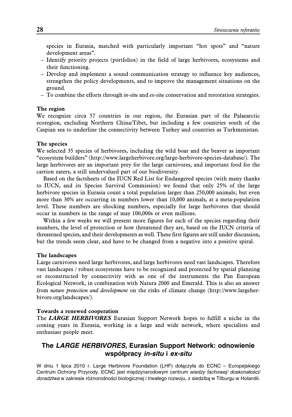species in Eurasia, matched with particularly important "hot spots" and "nature development areas".

- Identify priority projects (portfolios) in the field of large herbivores, ecosystems and their functioning.
- Develop and implement a sound communication strategy to influence key audiences, strengthen the policy developments, and to improve the management situations on the ground.
- To combine the efforts through  $in-situ$  and  $ex-situ$  conservation and restoration strategies.

#### **The region**

We recognize circa 57 countries in our region, the Eurasian part of the Palaearctic ecoregion, excluding Northern China/Tibet, but including a few countries south of the Caspian sea to underline the connectivity between Turkey and countries as Turkmenistan.

#### **The species**

We selected 35 species of herbivores, including the wild boar and the beaver as important "ecosystem builders" (http://www.largeherbivore.org/large-herbivore-species-database/). The large herbivores are an important prey for the large carnivores, and important food for the carrion eaters, a still undervalued part of our biodiversity.

Based on the factsheets of the IUCN Red List for Endangered species (with many thanks to IUCN, and its Species Survival Commission) we found that only 25% of the large herbivore species in Eurasia count a total population larger than 250,000 animals; but even more than 30% are occurring in numbers lower than 10,000 animals, at a meta-population level. These numbers are shocking numbers, especially for large herbivores that should occur in numbers in the range of may 100,000s or even millions.

Within a few weeks we will present more figures for each of the species regarding their numbers, the level of protection or how threatened they are, based on the IUCN criteria of threatened species, and their developments as well. These first figures are still under discussion, but the trends seem clear, and have to be changed from a negative into a positive spiral.

#### **The landscapes**

Large carnivores need large herbivores, and large herbivores need vast landscapes. Therefore vast landscapes / robust ecosystems have to be recognized and protected by spatial planning or reconstructed by connectivity with as one of the instruments the Pan European Ecological Network, in combination with Natura 2000 and Emerald. This is also an answer from nature protection and development on the risks of climate change (http://www.largeherbivore.org/landscapes/).

#### **Towards a renewed cooperation**

The **LARGE HERBIVORES** Eurasian Support Network hopes to fulfill a niche in the coming years in Eurasia, working in a large and wide network, where specialists and enthusiast people meet.

# **The** *LARGE HERBIVORES***, Eurasian Support Network: odnowienie wspo´ łpracy** *in-situ* **i** *ex-situ*

W dniu 1 lipca 2010 r. Large Herbivore Foundation (LHF) dołączyła do ECNC – Europejskiego Centrum Ochrony Przyrody. ECNC jest międzynarodowym centrum wiedzy fachowej/ doskonałości/ doradztwa w zakresie różnorodności biologicznej i trwałego rozwoju, z siedzibą w Tilburgu w Holandii.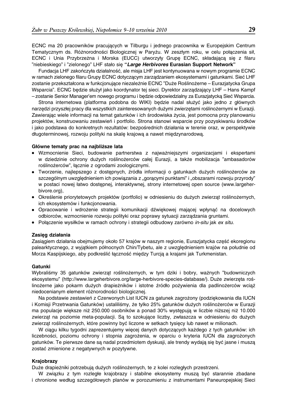ECNC ma 20 pracowników pracujących w Tilburgu i jednego pracownika w Europejskim Centrum Tematycznym ds. Różnorodności Biologicznej w Paryżu. W zeszłym roku, w celu połączenia sił, ECNC i Unia Przybrzeżna i Morska (EUCC) utworzyły Grupę ECNC, składającą się z filaru "niebieskiego" i "zielonego" LHF stało sie˛ **"***Large Herbivores* **Eurasian Support Network"**

Fundacja LHF zakończyła działalność, ale misja LHF jest kontynuowana w nowym programie ECNC w ramach zielonego filaru Grupy ECNC dotyczącym zarządzaniem ekosystemami i gatunkami. Sieć LHF zostanie przekształcona w funkcjonujące niezależnie ECNC "Duże Roślinożerne – Eurazjatycka Grupa Wsparcia". ECNC będzie służył jako koordynator tej sieci. Dyrektor zarządzający LHF – Hans Kampf – zostanie Senior Manager'em nowego programu i be˛dzie odpowiedzialny za Eurazjatycka˛ Siec´ Wsparcia.

Strona internetowa (platforma podobna do WIKI) będzie nadal służyć jako jedno z głównych narzedzi przyszłej pracy dla wszystkich zainteresowanych dużymi zwierzetami roślinożernymi w Eurazji. Zawierając wiele informacji na temat gatunków i ich środowiska życia, jest pomocna przy planowaniu projektów, konstruowaniu zestawień i portfolio. Strona stanowi wsparcie przy pozyskiwaniu środków i jako podstawa do konkretnych rezultatów: bezpośrednich działania w terenie oraz, w perspektywie długoterminowej, rozwoju polityki na skalę krajową a nawet międzynarodową.

#### Główne tematy prac na najbliższe lata

- · Wzmocnienie Sieci, budowanie partnerstwa z najważniejszymi organizacjami i ekspertami w dziedzinie ochrony dużych roślinożerców całej Eurazji, a także mobilizacja "ambasadorów roślinożerców", łącznie z ogrodami zoologicznymi.
- · Tworzenie, najlepszego z dostępnych, źródła informacji o gatunkach dużych roślinożerców ze szczególnym uwzględnieniem ich powiązania z "gorącymi punktami" i "obszarami rozwoju przyrody" w postaci nowej łatwo dostepnej, interaktywnej, strony internetowej open source (www.largeherbivore.org),
- Określenie priorytetowych projektów (portfolio) w odniesieniu do dużych zwierzat roślinożernych, ich ekosystemów i funkcjonowania.
- Opracowanie i wdrożenie strategii komunikacji dźwiekowej mającej wpłynać na docelowych odbiorców, wzmocnienie rozwoju polityki oraz poprawy sytuacji zarządzania gruntami.
- Połaczenie wysiłków w ramach ochrony i strategii odbudowy zarówno *in-situ* jak *ex situ*.

#### **Zasie˛g działania**

Zasiągiem działania obejmujemy około 57 krajów w naszym regionie, Eurazjatycka część ekoregionu palearktycznego, z wyjątkiem północnych Chin/Tybetu, ale z uwzględnieniem krajów na południe od Morza Kaspijskiego, aby podkreślić łączność między Turcją a krajami jak Turkmenistan.

#### **Gatunki**

Wybraliśmy 35 gatunków zwierząt roślinożernych, w tym dziki i bobry, ważnych "budowniczych ekosystemu" (http://www.largeherbivore.org/large-herbivore-species-database/). Duże zwierzęta roślinożerne jako pokarm dużych drapieżników i istotne źródło pożywienia dla padlinożerców wciąż niedocenianym element różnorodności biologicznej.

Na podstawie zestawień z Czerwonych List IUCN za gatunek zagrożony (podziekowania dla IUCN i Komisji Przetrwania Gatunków) ustaliliśmy, że tylko 25% gatunków dużych roślinożerców w Eurazji ma populacje wieksze niż 250.000 osobników a ponad 30% wystepują w liczbie niższej niż 10.000 zwierząt na poziomie meta-populacji. Są to szokujące liczby, zwłaszcza w odniesieniu do dużych zwierząt roślinożernych, które powinny być liczone w setkach tysięcy lub nawet w milionach.

W ciągu kilku tygodni zaprezentujemy więcej danych dotyczących każdego z tych gatunków: ich liczebności, poziomu ochrony i stopnia zagrożenia, w oparciu o kryteria IUCN dla zagrożonych gatunków. Te pierwsze dane są nadal przedmiotem dyskusji, ale trendy wydają się być jasne i muszą zostać zmienione z negatywnych w pozytywne.

#### **Krajobrazy**

Duże drapieżniki potrzebują dużych roślinożernych, te z kolei rozległych przestrzeni.

W związku z tym rozległe krajobrazy i stabilne ekosystemy muszą być starannie zbadane i chronione według szczegółowych planów w porozumieniu z instrumentami Paneuropejskiej Sieci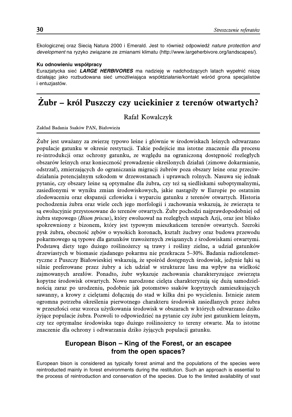Ekologicznej oraz Siecia Natura 2000 i Emerald. Jest to również odpowiedź *nature protection and* development na ryzyko związane ze zmianami klimatu (http://www.largeherbivore.org/landscapes/).

#### **Ku odnowieniu współpracy**

Eurazjatycka sieć *LARGE HERBIVORES* ma nadzieje w nadchodzacych latach wypełnić nisze działając jako rozbudowana sieć umożliwiająca współdziałanie/kontakt wśród grona specjalistów *i* entuziastów.

# **Żubr – król Puszczy czy uciekinier z terenów otwartych?**

Rafał Kowalczyk

Zakład Badania Ssaków PAN, Białowieża

Żubr jest uważany za zwierzę typowo leśne i głównie w środowiskach leśnych odtwarzano populacje gatunku w okresie restytucji. Takie podejście ma istotne znaczenie dla procesu re-introdukcji oraz ochrony gatunku, ze względu na ograniczoną dostępność rozległych obszarów leśnych oraz konieczność prowadzenie określonych działań (zimowe dokarmianie, odstrzał), zmierzających do ograniczania migracji żubrów poza obszary leśne oraz przeciwdziałania potencjalnym szkodom w drzewostanach i uprawach rolnych. Nasuwa się jednak pytanie, czy obszary leśne są optymalne dla żubra, czy też są siedliskami suboptymalnymi, zasiedlonymi w wyniku zmian środowiskowych, jakie nastąpiły w Europie po ostatnim zlodowaceniu oraz ekspansji człowieka i wyparciu gatunku z terenów otwartych. Historia pochodzenia żubra oraz wiele cech jego morfologii i zachowania wskazują, że zwierzęta te są ewolucyjnie przystosowane do terenów otwartych. Żubr pochodzi najprawdopodobniej od żubra stepowego (Bison priscus), który ewoluował na rozległych stepach Azji, oraz jest blisko spokrewniony z bizonem, który jest typowym mieszkańcem terenów otwartych. Szeroki pysk żubra, obecność zębów o wysokich koronach, kształt żuchwy oraz budowa przewodu pokarmowego są typowe dla gatunków trawożernych związanych z środowiskami otwartymi. Podstawą diety tego dużego roślinożercy są trawy i rośliny zielne, a udział gatunków drzewiastych w biomasie zjadanego pokarmu nie przekracza 5–30%. Badania radiotelemetryczne z Puszczy Białowieskiej wskazują, że spośród dostępnych środowisk, jedynie łąki są silnie preferowane przez żubry a ich udział w strukturze lasu ma wpływ na wielkość zajmowanych areałów. Ponadto, żubr wykazuje zachowania charakteryzujące zwierzęta kopytne środowisk otwartych. Nowo narodzone cielęta charakteryzują się dużą samodzielnością zaraz po urodzeniu, podobnie jak potomstwo ssaków kopytnych zamieszkujących sawanny, a krowy z cielętami dołączają do stad w kilka dni po wycieleniu. Istnieje zatem ogromna potrzeba określenia pierwotnego charakteru środowisk zasiedlanych przez żubra w przeszłości oraz wzorca użytkowania środowisk w obszarach w których odtwarzano dziko żyjące populacje żubra. Pozwoli to odpowiedzieć na pytanie czy żubr jest gatunkiem leśnym, czy tez optymalne środowiska tego dużego roślinożercy to tereny otwarte. Ma to istotne znaczenie dla ochrony i odtwarzania dziko żyjących populacji gatunku.

### **European Bison – King of the Forest, or an escapee from the open spaces?**

European bison is considered as typically forest animal and the populations of the species were reintroducted mainly in forest environments during the restitution. Such an approach is essential to the process of reintroduction and conservation of the species. Due to the limited availability of vast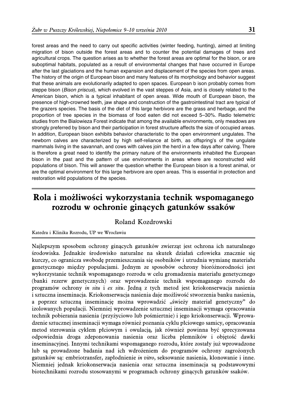forest areas and the need to carry out specific activities (winter feeding, hunting), aimed at limiting migration of bison outside the forest areas and to counter the potential damages of trees and agricultural crops. The question arises as to whether the forest areas are optimal for the bison, or are suboptimal habitats, populated as a result of environmental changes that have occurred in Europe after the last glaciations and the human expansion and displacement of the species from open areas. The history of the origin of European bison and many features of its morphology and behavior suggest that these animals are evolutionarily adapted to open spaces. European b ison probably comes from steppe bison (*Bison priscus*), which evolved in the vast steppes of Asia, and is closely related to the American bison, which is a typical inhabitant of open areas. Wide mouth of European bison, the presence of high-crowned teeth, jaw shape and construction of the gastrointestinal tract are typical of the grazers species. The basis of the diet of this large herbivore are the grass and herbage, and the proportion of tree species in the biomass of food eaten did not exceed 5–30%. Radio telemetric studies from the Bialowieza Forest indicate that among the available environments, only meadows are strongly preferred by bison and their participation in forest structure affects the size of occupied areas. In addition, European bison exhibits behavior characteristic to the open environment ungulates. The newborn calves are characterized by high self-reliance at birth, as offspring's of the ungulate mammals living in the savannah, and cows with calves join the herd in a few days after calving. There is therefore a great need to identify the primary nature of the environments inhabited the European bison in the past and the pattern of use environments in areas where are reconstructed wild populations of bison. This will answer the question whether the European bison is a forest animal, or are the optimal environment for this large herbivore are open areas. This is essential in protection and restoration wild populations of the species.

# **Rola i możliwości wykorzystania technik wspomaganego rozrodu w ochronie ginących gatunków ssaków**

### Roland Kozdrowski

#### Katedra i Klinika Rozrodu, UP we Wrocławiu

Najlepszym sposobem ochrony ginących gatunków zwierząt jest ochrona ich naturalnego środowiska. Jednakże środowisko naturalne na skutek działań człowieka znacznie się kurczy, co ogranicza swobodę przemieszczania się osobników i utrudnia wymianę materiału genetycznego między populacjami. Jednym ze sposobów ochrony bioróżnorodności jest wykorzystanie technik wspomaganego rozrodu w celu gromadzenia materiału genetycznego (banki rezerw genetycznych) oraz wprowadzenie technik wspomaganego rozrodu do programów ochrony in situ i ex situ. Jedną z tych metod jest kriokonserwacja nasienia i sztuczna inseminacja. Kriokonserwacja nasienia daje możliwość stworzenia banku nasienia, a poprzez sztuczną inseminację można wprowadzić "świeży materiał genetyczny" do izolowanych populacji. Niemniej wprowadzenie sztucznej inseminacji wymaga opracowania technik pobierania nasienia (przyżyciowo lub pośmiertnie) i jego kriokonserwacji. Wprowadzenie sztucznej inseminacji wymaga również poznania cyklu płciowego samicy, opracowania metod sterowania cyklem płciowym i owulacją, jak również powinna być sprecyzowana odpowiednia droga zdeponowania nasienia oraz liczba plemników i objętość dawki inseminacyjnej. Innymi technikami wspomaganego rozrodu, które zostały już wprowadzone lub są prowadzone badania nad ich wdrożeniem do programów ochrony zagrożonych gatunków są: embriotransfer, zapłodnienie in vitro, seksowanie nasienia, klonowanie i inne. Niemniej jednak kriokonserwacja nasienia oraz sztuczna inseminacja są podstawowymi biotechnikami rozrodu stosowanymi w programach ochrony ginących gatunków ssaków.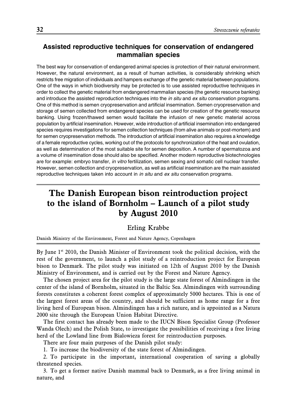# **Assisted reproductive techniques for conservation of endangered mammalian species**

The best way for conservation of endangered animal species is protection of their natural environment. However, the natural environment, as a result of human activities, is considerably shrinking which restricts free migration of individuals and hampers exchange of the genetic material between populations. One of the ways in which biodiversity may be protected is to use assisted reproductive techniques in order to collect the genetic material from endangered mammalian species (the genetic resource banking) and introduce the assisted reproduction techniques into the *in situ* and *ex situ* conservation programs. One of this method is semen cryopreservation and artificial insemination. Semen cryopreservation and storage of semen collected from endangered species can be used for creation of the genetic resource banking. Using frozen/thawed semen would facilitate the infusion of new genetic material across population by artificial insemination. However, wide introduction of artificial insemination into endangered species requires investigations for semen collection techniques (from alive animals or post-mortem) and for semen cryopreservation methods. The introduction of artificial insemination also requires a knowledge of a female reproductive cycles, working out of the protocols for synchronization of the heat and ovulation, as well as determination of the most suitable site for semen deposition. A number of spermatozoa and a volume of insemination dose should also be specified. Another modern reproductive biotechnologies are for example: embryo transfer, *in vitro* fertilization, semen sexing and somatic cell nuclear transfer. However, semen collection and cryopreservation, as well as artificial insemination are the main assisted reproductive techniques taken into account in *in situ* and *ex situ* conservation programs.

# **The Danish European bison reintroduction project to the island of Bornholm – Launch of a pilot study by August 2010**

### Erling Krabbe

Danish Ministry of the Environment, Forest and Nature Agency, Copenhagen

By June  $1<sup>st</sup>$  2010, the Danish Minister of Environment took the political decision, with the rest of the government, to launch a pilot study of a reintroduction project for European bison to Denmark. The pilot study was initiated on 12th of August 2010 by the Danish Ministry of Environment, and is carried out by the Forest and Nature Agency.

The chosen project area for the pilot study is the large state forest of Almindingen in the center of the island of Bornholm, situated in the Baltic Sea. Almindingen with surrounding forests constitutes a coherent forest complex of approximately 5000 hectares. This is one of the largest forest areas of the country, and should be sufficient as home range for a free living herd of European bison. Almindingen has a rich nature, and is appointed as a Natura 2000 site through the European Union Habitat Directive.

The first contact has already been made to the IUCN Bison Specialist Group (Professor Wanda Olech) and the Polish State, to investigate the possibilities of receiving a free living herd of the Lowland line from Bialowieza forest for reintroduction purposes.

There are four main purposes of the Danish pilot study:

1. To increase the biodiversity of the state forest of Almindingen.

2. To participate in the important, international cooperation of saving a globally threatened species.

3. To get a former native Danish mammal back to Denmark, as a free living animal in nature, and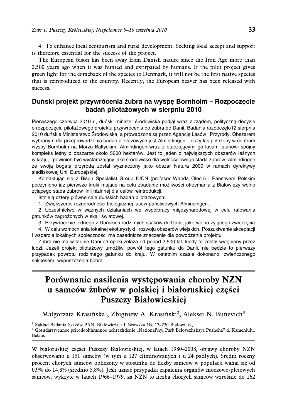4. To enhance local ecotourism and rural development. Seeking local accept and support is therefore essential for the success of the project.

The European bison has been away from Danish nature since the Iron Age more than 2.500 years ago when it was hunted and extirpated by humans. If the pilot project gives green light for the comeback of the species to Denmark, it will not be the first native species that is reintroduced to the country. Recently, the European beaver has been released with success.

## Duński projekt przywrócenia żubra na wyspę Bornholm – Rozpoczęcie **badan´ pilotaz˙owych w sierpniu 2010**

Pierwszego czerwca 2010 r., duński minister środowiska podjął wraz z rządem, polityczną decyzję o rozpoczęciu pilotażowego projektu przywrócenia do żubra do Danii. Badania rozpoczęło12 sierpnia 2010 duńskie Ministerstwo Srodowiska, a prowadzone są przez Agencję Lasów i Przyrody. Obszarem wybranym dla przeprowadzenia badań pilotażowych jest Almindingen – duży las położony w centrum wyspy Bornholm na Morzu Bałtyckim. Almindingen wraz z otaczającymi go lasami stanowi spójny kompleks leśny o obszarze około 5000 hektarów. Jest to jeden z największych obszarów leśnych w kraju, i powinien być wystarczający jako środowisko dla wolnościowego stada żubrów. Almindingen ze swoją bogatą przyrodą został wyznaczony jako obszar Natura 2000 w ramach dyrektywy siedliskowej Unii Europejskiej.

Kontaktując się z Bison Specialist Group IUCN (profesor Wandą Olech) i Państwem Polskim poczyniono już pierwsze kroki mające na celu zbadanie możliwości otrzymania z Białowieży wolno żyjącego stada żubrów linii nizinnej dla celów reintrodukcji.

Istnieją cztery główne cele duńskich badań pilotażowych:

1. Zwiększenie różnorodności biologicznej lasów państwowych Almindingen.

2. Uczestnictwo w ważnych działaniach we współpracy międzynarodowej w celu ratowania gatunków zagrożonych w skali światowej.

3. Przywrócenie jednego z Duńskich rodzimych ssaków do Danii, jako wolno żyjącego zwierzęcia

4. W celu wzmocnienia lokalnej ekoturystyki i rozwoju obszarów wiejskich. Poszukiwanie akceptacji i wsparcia lokalnych społeczności ma zasadnicze znaczenie dla powodzenia projektu.

Z˙ubra nie ma w faunie Dani od epoki z˙elaza od ponad 2,500 lat, kiedy to został wyte˛piony przez ludzi. Jeżeli projekt pilotażowy umożliwi powrót tego gatunku do Danii, nie będzie to pierwszy przypadek powrotu rodzimego gatunku do kraju. W ostatnim czasie dokonano, zwieńczonego sukcesem, wypuszczenia bobra.

# **Porównanie nasilenia występowania choroby NZN u samców żubrów w polskiej i białoruskiej części Puszczy Białowieskiej**

Małgorzata Krasińska<sup>1</sup>, Zbigniew A. Krasiński<sup>2</sup>, Aleksei N. Bunevich<sup>3</sup>

<sup>1</sup> Zakład Badania Ssaków PAN, Białowieża, ul. Browska 1B, 17–230 Białowieża,

 $^3$  Gosudarstvennoe prirodookhrannoe uchrezhdenie "National'nyi Park Belovezhskaya Pushcha" d. Kamenjuki, Belaus

W białoruskiej części Puszczy Białowieskiej, w latach 1980–2008, objawy choroby NZN obserwowano u 151 samców (w tym u 127 eliminowanych i u 24 padłych). Średni roczny procent chorych samców obliczony w stosunku do liczby samców w populacji wahał się od 0,9% do 14,8% (średnio 5,8%). Jeśli uznać przypadki zapalenia organów moczowo-płciowych samców, wykryte w latach 1966–1979, za NZN to liczba chorych samców wzrośnie do 162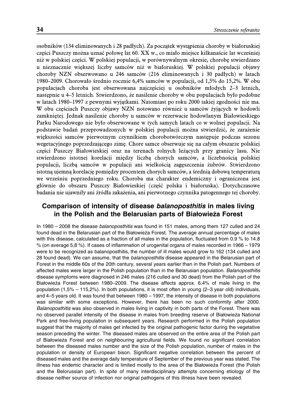osobników (134 eliminowanych i 28 padłych). Za początek wystąpienia choroby w białoruskiej części Puszczy można uznać połowę lat 60. XX w., co miało miejsce kilkanaście lat wcześniej niż w polskiej części. W polskiej populacji, w porównywalnym okresie, chorobę stwierdzano u nieznacznie większej liczby samców niż w białoruskiej. W polskiej populacji objawy choroby NZN obserwowano u 246 samców (216 eliminowanych i 30 padłych) w latach 1980–2009. Chorowało średnio rocznie 6,4% samców w populacji, od 1,5% do 15,2%. W obu populacjach choroba jest obserwowana najczęściej u osobników młodych 2–3 letnich, następnie u 4–5 letnich. Stwierdzono, że nasilenie choroby w obu populacjach było podobne w latach 1980–1997 z pewnymi wyjątkami. Natomiast po roku 2000 takiej zgodności nie ma. W obu częściach Puszczy objawy NZN notowano również u samców żyjących w hodowli zamkniętej. Jednak nasilenie choroby u samców w rezerwacie hodowlanym Białowieskiego Parku Narodowego nie było obserwowane w tych samych latach co w wolnej populacji. Na podstawie badań przeprowadzonych w polskiej populacji można stwierdzić, że zarażenie większości samców pierwotnym czynnikiem chorobotwórczym następuje podczas sezonu wegetacyjnego poprzedzającego zimę. Chore samce obserwuje się na całym obszarze polskiej części Puszczy Białowieskiej oraz na terenach rolnych leżących przy granicy lasu. Nie stwierdzono istotnej korelacji między liczbą chorych samców, a liczebnością polskiej populacji, liczbą samców w populacji ani wielkością zagęszczenia żubrów. Stwierdzono istotną ujemną korelację pomiędzy procentem chorych samców, a średnią dobową temperaturą we wrześniu poprzedniego roku. Choroba ma charakter endemiczny i ograniczona jest głównie do obszaru Puszczy Białowieskiej (część polska i białoruska). Dotychczasowe badania nie ujawniły ani źródła zakażenia, ani pierwotnego czynnika patogennego tej choroby.

### **Comparison of intensity of disease** *balanoposthitis* **in males living in the Polish and the Belarusian parts of Białowieża Forest**

In 1980 – 2008 the disease *balanoposthitis* was found in 151 males, among them 127 culled and 24 found dead in the Belarusian part of the Białowieża Forest. The average annual percentage of males with this disease, calculated as a fraction of all males in the population, fluctuated from 0.9 % to 14.8 % (on average 5,8 %). If cases of inflammation of urogenital organs of males recorded in 1966 – 1979 were to be recognized as balanoposthitis, the number of ill males would grow to 162 (134 culled and 28 found dead). We can assume, that the *balanoposthitis* disease appeared in the Belarusian part of Forest in the middle 60s of the 20th century, several years earlier than in the Polish part. Numbers of affected males were larger in the Polish population than in the Belarusian population. *Balanoposthitis* disease symptoms were diagnosed in 246 males (216 culled and 30 dead) from the Polish part of the Białowieża Forest between 1980–2009. The disease affects approx. 6.4% of male living in the population (1,5% – 115,2%). In both populations, it is most often in young (2–3 year old) individuals, and 4–5 years old. It was found that between 1980 – 1997, the intensity of disease in both populations was similar with some exceptions. However, there has been no such conformity after 2000. *Balanoposthitis* was also observed in males living in captivity in both parts of the Forest. There was no observed parallel intensity of the disease in males from breeding reserve of Białowieża National Park and free-living population in subsequent years. Research performed in the Polish population suggest that the majority of males get infected by the original pathogenic factor during the vegetative season preceding the winter. The diseased males are observed on the entire area of the Polish part of Białowieża Forest and on neighbouring agricultural fields. We found no significant correlation between the diseased males number and the size of the Polish population, number of males in the population or density of European bison. Significant negative correlation between the percent of diseased males and the average daily temperature of September of the previous year was stated. The illness has endemic character and is limited mostly to the area of the Białowieża Forest (the Polish and the Belorussian part). In spite of many interdisciplinary attempts concerning etiology of the disease neither source of infection nor original pathogens of this illness have been revealed.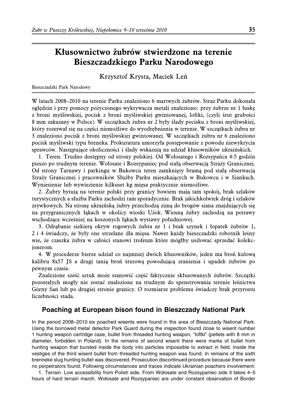# **Kłusownictwo żubrów stwierdzone na terenie Bieszczadzkiego Parku Narodowego**

Krzysztof Krysta, Maciek Leń

#### Bieszczadzki Park Narodowy

W latach 2008–2010 na terenie Parku znaleziono 6 martwych żubrów. Straż Parku dokonała oględzin i przy pomocy pożyczonego wykrywacza metali znaleziono: przy żubrze nr 1 łuskę z broni myśliwskiej, pocisk z broni myśliwskiej gwintowanej, loftki, (czyli śrut grubości 8 mm zakazany w Polsce). W szczątkach żubra nr 2 były ślady pocisku z broni myśliwskiej, który rozerwał się na części niemożliwe do wyodrębnienia w terenie. W szczątkach żubra nr 3 znaleziono pocisk z broni myśliwskiej gwintowanej. W szczątkach żubra nr 6 znaleziono pocisk myśliwski typu breneka. Prokuratura umorzyła postępowanie z powodu niewykrycia sprawców. Następujące okoliczności i ślady wskazują na udział kłusowników ukraińskich.

1. Teren. Trudno dostępny od strony polskiej. Od Wołosatego i Rozsypańca 4-5 godzin pieszo po trudnym terenie. Wołosate i Rozsypaniec pod stałą obserwacją Straży Granicznej. Od strony Tarnawy i parkingu w Bukowcu teren zamknięty bramą pod stałą obserwacją Straży Granicznej i pracowników Służby Parku mieszkających w Bukowcu i w Siankach. Wyniesienie lub wywiezienie kilkuset kg mięsa praktycznie niemożliwe.

2. Żubry bytują na terenie polski przy granicy bowiem mają tam spokój, brak szlaków turystycznych a służba Parku zachodzi tam sporadycznie. Brak jakichkolwiek dróg i szlaków zrywkowych. Na stronę ukraińską żubry przechodzą zimą do brogów siana znajdujących się na przygranicznych łąkach w okolicy wioski Użok. Wiosną żubry zachodzą na potrawy wschodzące wcześniej na koszonych łąkach wystawy południowej.

3. Odrąbanie siekierą okryw rogowych żubra nr 1 i brak szynek i łopatek żubrów 1, 2 i 4 świadczy, że były one strzelane dla mięsa. Nawet każdy bieszczadzki robotnik leśny wie, że czaszka żubra w całości stanowi trofeum które mógłby usiłować sprzedać kolekcjonerom.

4. W procederze bierze udział co najmniej dwóch kłusowników, jeden ma broń kulową kalibru 8x57 JS a drugi tanią broń śrutową powodującą zranienia i upadek żubrów po pewnym czasie.

Znalezione sześć sztuk może stanowić część faktycznie skłusowanych żubrów. Szczątki pozostałych mogły nie zostać znalezione na trudnym do spenetrowania terenie leśnictwa Górny San lub po drugiej stronie granicy. O rozmiarze problemu świadczy brak przyrostu liczebności stada.

### **Poaching at European bison found in Bieszczady National Park**

In the period 2008–2010 six poached wisents were found in the area of Bieszczady National Park. Using the borrowed metal detector Park Guard during the inspection found close to wisent number 1 hunting weapon cartridge case, bullet from threaded hunting weapon, "loftki" (pellets with 8 mm in diameter, forbidden in Poland). In the remains of second wisent there were marks of bullet from hunting weapon that bursted inside the body into particles impossible to extract in field. Inside the vestiges of the third wisent bullet from threaded hunting weapon was found. In remains of the sixth brenneke slug hunting bullet was discovered. Prosecution discontinued procedure because there were no perpetrators found. Following circumstances and traces indicate Ukrainian poachers involvement:

1. Terrain. Low accessibility from Polish side. From Wołosate and Rozsypaniec side it takes 4–5 hours of hard terrain march. Wołosate and Rozsypaniec are under constant observation of Border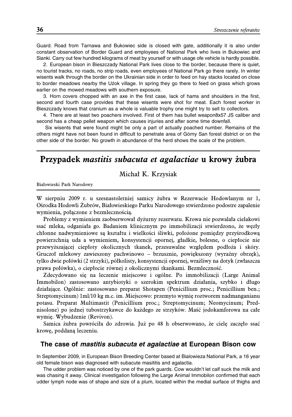Guard. Road from Tarnawa and Bukowiec side is closed with gate, additionally it is also under constant observation of Border Guard and employees of National Park who lives in Bukowiec and Sianki. Carry out few hundred kilograms of meat by yourself or with usage ofe vehicle is hardly possible.

2. European bison in Bieszczady National Park lives close to the border, because there is quiet, no tourist tracks, no roads, no strip roads, even employees of National Park go there rarely. In winter wisents walk through the border on the Ukrainian side in order to feed on hay stacks located on close to border meadows nearby the Uzok village. In spring they go there to feed on grass which grows earlier on the mowed meadows with southern exposure.

3. Horn covers chopped with an axe in the first case, lack of hams and shoulders in the first, second and fourth case provides that these wisents were shot for meat. Each forest worker in Bieszczady knows that cranium as a whole is valuable trophy one might try to sell to collectors.

4. There are at least two poachers involved. First of them has bullet weapon8x57 JS caliber and second has a cheap pellet weapon which causes injuries and after some time downfall.

Six wisents that were found might be only a part of actually poached number. Remains of the others might have not been found in difficult to penetrate area of Górny San forest district or on the other side of the border. No growth in abundance of the herd shows the scale of the problem.

# **Przypadek mastitis subacuta et agalactiae u krowy żubra**

#### Michał K. Krzysiak

Białowieski Park Narodowy

W sierpniu 2009 r. u szesnastoletniej samicy żubra w Rezerwacie Hodowlanym nr 1, Ośrodka Hodowli Żubrów, Białowieskiego Parku Narodowego stwierdzono podostre zapalenie wymienia, połączone z bezmlecznością.

Problemy z wymieniem zaobserwował dyżurny rezerwatu. Krowa nie pozwalała cielakowi ssać mleka, odganiała go. Badaniem klinicznym po immobilizacji stwierdzono, że węzły chłonne nadwymieniowe są kształtu i wielkości śliwki, położone pomiędzy przyśrodkową powierzchnią uda a wymieniem, konsystencji opornej, gładkie, bolesne, o ciepłocie nie przewyższającej ciepłoty okolicznych tkanek, przesuwalne względem podłoża i skóry. Gruczoł mlekowy zawieszony pachwinowo – brzusznie, powiększony (wyraźny obrzęk), tylko dwie połówki (2 strzyki), półkolisty, konsystencji opornej, wrażliwy na dotyk (zwłaszcza prawa połówka), o ciepłocie równej z okolicznymi tkankami. Bezmleczność.

Zdecydowano się na leczenie miejscowe i ogólne. Po immobilizacji (Large Animal Immobilon) zastosowano antybiotyki o szerokim spektrum działania, szybko i długo działające. Ogólnie: zastosowano preparat Shotapen (Penicillium proc.; Penicillium ben.; Streptomycinum) 1ml/10 kg m.c. im. Miejscowo: przemyto wymię roztworem nadmanganianu potasu. Preparat Multimastit (Penicillium proc.; Streptomycinum; Neomycinum; Prednisolone) po jednej tubostrzykawce do każdego ze strzyków. Maść jodokamforowa na całe wymię. Wybudzenie (Revivon).

Samica żubra powróciła do zdrowia. Już po 48 h obserwowano, że cielę zaczęło ssać krowę, poddaną leczeniu.

#### **The case of** *mastitis subacuta et agalactiae* **at European Bison cow**

In September 2009, in European Bison Breeding Center based at Bialowieza National Park, a 16 year old female bison was diagnosed with subacute masititis and agalactia.

The udder problem was noticed by one of the park guards. Cow wouldn't let calf suck the milk and was chasing it away. Clinical investigation following the Large Animal Immobilon confirmed that each udder lymph node was of shape and size of a plum, located within the medial surface of thighs and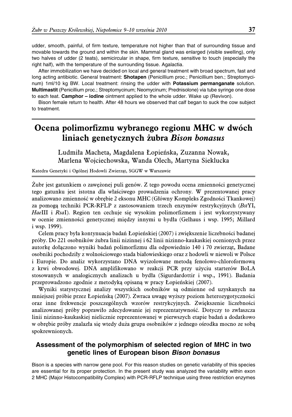udder, smooth, painful, of firm texture, temperature not higher than that of surrounding tissue and movable towards the ground and within the skin. Mammal gland was enlarged (visible swelling), only two halves of udder (2 teats), semicircular in shape, firm texture, sensitive to touch (especially the right half), with the temperature of the surrounding tissue. Agalactia.

After immobilization we have decided on local and general treatment with broad spectrum, fast and long acting antibiotic. General treatment: **Shotapen** (Penicillium proc.; Penicillium ben.; Streptomycinum) 1ml/10 kg BW. Local treatment: rinsing the udder with **Potassium permanganate** solution. **Multimastit** (Penicillium proc.; Streptomycinum; Neomycinum; Prednisolone) via tube syringe one dose to each teat. **Camphor – iodine** ointment applied to the whole udder. Wake up (Revivon).

Bison female return to health. After 48 hours we observed that calf began to suck the cow subject to treatment.

# **Ocena polimorfizmu wybranego regionu MHC w dwóch liniach genetycznych żubra Bison bonasus**

Ludmiła Macheta, Magdalena Łopieńska, Zuzanna Nowak, Marlena Wojciechowska, Wanda Olech, Martyna Sieklucka

Katedra Genetyki i Ogólnej Hodowli Zwierząt, SGGW w Warszawie

Żubr jest gatunkiem o zawężonej puli genów. Z tego powodu ocena zmienności genetycznej tego gatunku jest istotna dla właściwego prowadzenia ochrony. W prezentowanej pracy analizowano zmienność w obrębie 2 eksonu MHC (Główny Kompleks Zgodności Tkankowej) za pomogą techniki PCR-RFLP z zastosowaniem trzech enzymów restrykcyjnych (BstYI, HaeIII i RsaI). Region ten cechuje się wysokim polimorfizmem i jest wykorzystywany w ocenie zmienności genetycznej między innymi u bydła (Gelhaus i wsp. 1995; Millard i wsp. 1999).

Celem pracy była kontynuacja badań Łopieńskiej (2007) i zwiększenie liczebności badanej próby. Do 221 osobników żubra linii nizinnej i 62 linii nizinno-kaukaskiej ocenionych przez autorkę dołączono wyniki badań polimorfizmu dla odpowiednio 140 i 70 zwierząt, Badane osobniki pochodziły z wolnościowego stada białowieskiego oraz z hodowli w niewoli w Polsce i Europie. Do analiz wykorzystano DNA wyizolowane metodą fenolowo-chloroformową z krwi obwodowej. DNA amplifikowano w reakcji PCR przy użyciu starterów BoLA stosowanych w analogicznych analizach u bydła (Sigurdardottir i wsp., 1991). Badania przeprowadzono zgodnie z metodyką opisaną w pracy Łopieńskiej (2007).

Wyniki statystycznej analizy wszystkich osobników są odmienne od uzyskanych na mniejszej próbie przez Łopieńską (2007). Zwraca uwagę wyższy poziom heterozygotyczności oraz inne frekwencje poszczególnych wzorów restrykcyjnych. Zwiększenie liczebności analizowanej próby poprawiło zdecydowanie jej reprezentatywność. Dotyczy to zwłaszcza linii nizinno-kaukaskiej nielicznie reprezentowanej w pierwszych etapie badań a dodatkowo w obrębie próby znalazła się wtedy duża grupa osobników z jednego ośrodka mocno ze sobą spokrewnionych.

### **Assessment of the polymorphism of selected region of MHC in two genetic lines of European bison** *Bison bonasus*

Bison is a species with narrow gene pool. For this reason studies on genetic variability of this species are essential for its proper protection. In the present study was analyzed the variability within exon 2 MHC (Major Histocompatibility Complex) with PCR-RFLP technique using three restriction enzymes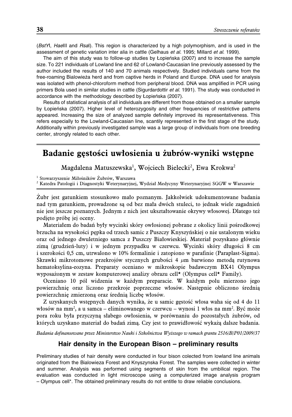(*BstY*I, *Hae*III and *Rsa*I). This region is characterized by a high polymorphism, and is used in the assessment of genetic variation inter alia in cattle (Gelhaus *et al.* 1995; Millard *et al*. 1999).

The aim of this study was to follow-up studies by Lopieńska (2007) and to increase the sample size. To 221 individuals of Lowland line and 62 of Lowland-Caucasian line previously assessed by the author included the results of 140 and 70 animals respectively. Studied individuals came from the free-roaming Bialowieża herd and from captive herds in Poland and Europe. DNA used for analysis was isolated with phenol-chloroform method from peripheral blood. DNA was amplified in PCR using primers Bola used in similar studies in cattle (Sigurdardottir *et al.* 1991). The study was conducted in accordance with the methodology described by Łopieńska (2007).

Results of statistical analysis of all individuals are different from those obtained on a smaller sample by Łopieńska (2007). Higher level of heterozygosity and other frequencies of restrictive patterns appeared. Increasing the size of analyzed sample definitely improved its representativeness. This refers especially to the Lowland-Caucasian line, scantily represented in the first stage of the study. Additionally within previously investigated sample was a large group of individuals from one breeding center, strongly related to each other.

# **Badanie gęstości uwłosienia u żubrów-wyniki wstępne**

Magdalena Matuszewska<sup>1</sup>, Wojciech Bielecki<sup>2</sup>, Ewa Krokwa<sup>2</sup>

<sup>1</sup> Stowarzyszenie Miłośników Żubrów, Warszawa

<sup>2</sup> Katedra Patologii i Diagnostyki Weterynaryjnej, Wydział Medycyny Weterynaryjnej SGGW w Warszawie

Żubr jest gatunkiem stosunkowo mało poznanym. Jakkolwiek udokumentowane badania nad tym gatunkiem, prowadzone są od bez mała dwóch stuleci, to jednak wiele zagadnień nie jest jeszcze poznanych. Jednym z nich jest ukształtowanie okrywy włosowej. Dlatego też podjęto próbę jej oceny.

Materiałem do badań były wycinki skóry owłosionej pobrane z okolicy linii pośrodkowej brzucha na wysokości pępka od trzech samic z Puszczy Knyszyńskiej o nie ustalonym wieku oraz od jednego dwuletniego samca z Puszczy Białowieskiej. Materiał pozyskano głównie zimą (grudzień-luty) i w jednym przypadku w czerwcu. Wycinki skóry długości 8 cm i szerokości 0,5 cm, utrwalono w 10% formalinie i zatopiono w parafinie (Paraplast-Sigma). Skrawki mikrotomowe przekrojów stycznych grubości 4  $\mu$ m barwiono metodą rutynowa hematoksylina-eozyna. Preparaty oceniano w mikroskopie badawczym BX41 Olympus wyposażonym w zestaw komputerowej analizy obrazu cell\* (Olympus cell\* Family).

Oceniano 10 pól widzenia w każdym preparacie. W każdym polu mierzono jego powierzchnię oraz liczono przekroje poprzeczne włosów. Następnie obliczono średnią powierzchnię zmierzoną oraz średnią liczbę włosów.

Z uzyskanych wstępnych danych wynika, że u samic gęstość włosa waha się od 4 do 11 włosów na mm<sup>2</sup>, a u samca – eliminowanego w czerwcu – wynosi 1 włos na mm<sup>2</sup>. Być może pora roku była przyczyną słabego owłosienia, w porównaniu do pozostałych żubrów, od których uzyskano materiał do badań zimą. Czy jest to prawidłowość wykażą dalsze badania.

Badania dofinansowane przez Ministerstwo Nauki i Szkolnictwa Wyższego w ramach grantu 2516/B/P01/2009/37

#### **Hair density in the European Bison – preliminary results**

Preliminary studies of hair density were conducted in four bison colected from lowland line animals originated from the Bialowieza Forest and Knyszynska Forest. The samples were collected in winter and summer. Analysis was performed using segments of skin from the umbilical region. The evaluation was conducted in light microscope using a computerized image analysis program – Olympus cell\*. The obtained preliminary results do not entitle to draw reliable conclusions.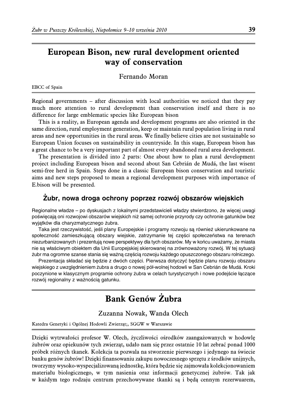# **European Bison, new rural development oriented way of conservation**

Fernando Moran

EBCC of Spain

Regional governments – after discussion with local authorities we noticed that they pay much more attention to rural development than conservation itself and there is no difference for large emblematic species like European bison

This is a reality, as European agenda and development programs are also oriented in the same direction, rural employment generation, keep or maintain rural population living in rural areas and new opportunities in the rural areas. We finally believe cities are not sustainable so European Union focuses on sustainability in countryside. In this stage, European bison has a great chance to be a very important part of almost every abandoned rural area development.

The presentation is divided into 2 parts: One about how to plan a rural development project including European bison and second about San Cebrián de Mudá, the last wisent semi-free herd in Spain. Steps done in a classic European bison conservation and touristic aims and new steps proposed to mean a regional development purposes with importance of E.bison will be presented.

### Zubr, nowa droga ochrony poprzez rozwój obszarów wiejskich

Regionalne władze – po dyskusjach z lokalnymi przedstawicieli władzy stwierdzono, że więcej uwagi poświęcają oni rozwojowi obszarów wiejskich niż samej ochronie przyrody czy ochronie gatunków bez wyjątków dla charyzmatycznego żubra.

Taka jest rzeczywistość, jeśli plany Europejskie i programy rozwoju są również ukierunkowane na społeczność zamieszkującą obszary wiejskie, zatrzymanie tej części społeczeństwa na terenach niezurbanizowanych i prezentują nowe perspektywy dla tych obszarów. My w końcu uważamy, że miasta nie są właściwym obiektem dla Unii Europejskiej skierowanej na zrównoważony rozwój. W tej sytuacji żubr ma ogromne szanse stania się ważną częścią rozwoju każdego opuszczonego obszaru rolniczego.

Prezentacja składać się będzie z dwóch części. Pierwsza dotyczyć będzie planu rozwoju obszaru wiejskiego z uwzględnieniem żubra a drugo o nowej pół-wolnej hodowli w San Cebrián de Mudá. Kroki poczynione w klasycznym programie ochrony żubra w celach turystycznych i nowe podejście łączące rozwój regionalny z ważnością gatunku.

# **Bank Genów Żubra**

Zuzanna Nowak, Wanda Olech

Katedra Genetyki i Ogólnej Hodowli Zwierząt;, SGGW w Warszawie

Dzięki wytrwałości profesor W. Olech, życzliwości ośrodków zaangażowanych w hodowlę żubrów oraz opiekunów tych zwierząt, udało nam się przez ostatnie 10 lat zebrać ponad 1000 próbek różnych tkanek. Kolekcja ta pozwala na stworzenie pierwszego i jedynego na świecie banku genów żubrów! Dzięki finansowaniu zakupu nowoczesnego sprzętu z środków unijnych, tworzymy wysoko-wyspecjalizowaną jednostkę, która będzie się zajmowała kolekcjonowaniem materiału biologicznego, w tym nasienia oraz informacji genetycznej żubrów. Tak jak w każdym tego rodzaju centrum przechowywane tkanki są i będą cennym rezerwuarem,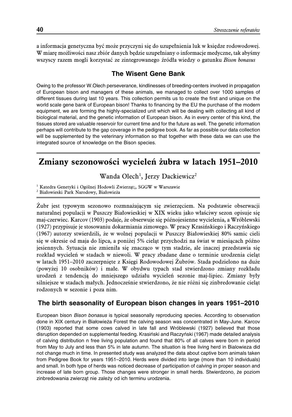a informacja genetyczna być może przyczyni się do uzupełnienia luk w księdze rodowodowej. W miarę możliwości nasz zbiór danych będzie uzupełniany o informacje medyczne, tak abyśmy wszyscy razem mogli korzystać ze zintegrowanego źródła wiedzy o gatunku Bison bonasus

### **The Wisent Gene Bank**

Owing to the professor W.Olech perseverance, kindlinesses of breeding-centers involved in propagation of European bison and managers of these animals, we managed to collect over 1000 samples of different tissues during last 10 years. This collection permits us to create the first and unique on the world scale gene bank of European bison! Thanks to financing by the EU the purchase of the modern equipment, we are forming the highly-specialized unit which will be dealing with collecting all kind of biological material, and the genetic information of European bison. As in every center of this kind, the tissues stored are valuable reservoir for current time and for the future as well. The genetic information perhaps will contribute to the gap coverage in the pedigree book. As far as possible our data collection will be supplemented by the veterinary information so that together with these data we can use the integrated source of knowledge on the Bison species.

# **Zmiany sezonowości wycieleń żubra w latach 1951–2010**

Wanda Olech<sup>1</sup>, Jerzy Dackiewicz<sup>2</sup>

<sup>1</sup> Katedra Genetyki i Ogólnej Hodowli Zwierząt;, SGGW w Warszawie

<sup>2</sup> Białowieski Park Narodowy, Białowieża

Żubr jest typowym sezonowo rozmnażającym się zwierzęciem. Na podstawie obserwacji naturalnej populacji w Puszczy Białowieskiej w XIX wieku jako właściwy sezon opisuje się maj-czerwiec. Karcov (1903) podaje, że obserwuje się późnojesienne wycielenia, a Wróblewski (1927) przypisuje je stosowaniu dokarmiania zimowego. W pracy Krasińskiego i Raczyńskiego (1967) autorzy stwierdzili, że w wolnej populacji w Puszczy Białowieskiej 80% samic cieli się w okresie od maja do lipca, a poniżej 5% cieląt przychodzi na świat w miesiącach późno jesiennych. Sytuacja nie zmieniła się znacząco w tym stadzie, ale inaczej przedstawia się rozkład wycieleń w stadach w niewoli. W pracy zbadane dane o terminie urodzenia cieląt w latach 1951–2010 zaczerpnięte z Księgi Rodowodowej Żubrów. Stada podzielono na duże (powyżej 10 osobników) i małe. W obydwu typach stad stwierdzono zmiany rozkładu urodzeń z tendencją do mniejszego udziału wycieleń sezonie maj-lipiec. Zmiany były silniejsze w stadach małych. Jednocześnie stwierdzono, że nie różni się zinbredowanie cieląt rodzonych w sezonie i poza nim.

### **The birth seasonality of European bison changes in years 1951–2010**

European bison *Bison bonasus* is typical seasonally reproducing species. According to observation done in XIX century in Białowieża Forest the calving season was concentrated in May-June. Karcov (1903) reported that some cows calved in late fall and Wróblewski (1927) believed that those disruption depended on supplemental feeding. Krasiński and Raczyński (1967) made detailed analysis of calving distribution n free living population and found that 80% of all calves were born in period from May to July and less than 5% in late autumn. The situation is free living herd in Bialowieza did not change much in time. In presented study was analyzed the data about captive born animals taken from Pedigree Book for years 1951–2010. Herds were divided into large (more than 10 individuals) and small. In both type of herds was noticed decrease of participation of calving in proper season and increase of late born group. Those changes were stronger in small herds. Stwierdzono, że poziom zinbredowania zwierząt nie zależy od ich terminu urodzenia.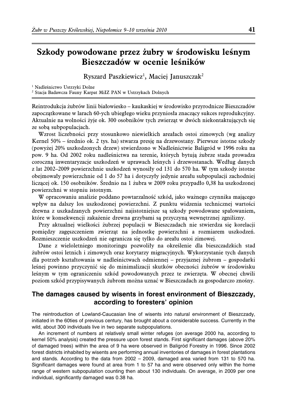# **Szkody powodowane przez żubry w środowisku leśnym Bieszczadów w ocenie leśników**

Ryszard Paszkiewicz<sup>1</sup>, Maciej Januszczak<sup>2</sup>

<sup>1</sup> Nadleśnictwo Ustrzyki Dolne

<sup>2</sup> Stacja Badawcza Fauny Karpat MiIZ PAN w Ustrzykach Dolnych

Reintrodukcja żubrów linii białowiesko – kaukaskiej w środowisko przyrodnicze Bieszczadów zapoczątkowane w larach 60-ych ubiegłego wieku przyniosła znaczący sukces reprodukcyjny. Aktualnie na wolności żyje ok. 300 osobników tych zwierząt w dwóch niekontaktujących się ze sobą subpopulacjach.

Wzrost liczebności przy stosunkowo niewielkich areałach ostoi zimowych (wg analizy Kernel 50% – średnio ok. 2 tys. ha) stwarza presję na drzewostany. Pierwsze istotne szkody (powyżej 20% uszkodzonych drzew) stwierdzono w Nadleśnictwie Baligród w 1996 roku na pow. 9 ha. Od 2002 roku nadleśnictwa na terenie, których bytują żubrze stada prowadza coroczną inwentaryzacje uszkodzeń w uprawach leśnych i drzewostanach. Według danych z lat 2002–2009 powierzchnie uszkodzeń wynosiły od 131 do 570 ha. W tym szkody istotne obejmowały powierzchnie od 1 do 57 ha i dotyczyły jedynie areału subpopulacji zachodniej liczącej ok. 150 osobników. Średnio na 1 żubra w 2009 roku przypadło 0,38 ha uszkodzonej powierzchni w stopniu istotnym.

W opracowaniu analizie poddano powtarzalność szkód, jako ważnego czynnika mającego wpływ na dalszy los uszkodzonej powierzchni. Z punktu widzenia technicznej wartości drewna z uszkadzanych powierzchni najistotniejsze są szkody powodowane spałowaniem, które w konsekwencji zakażenie drewna grzybami są przyczyną wewnętrznej zgnilizny.

Przy aktualnej wielkości żubrzej populacji w Bieszczadach nie stwierdza się korelacji pomiędzy zagęszczeniem zwierząt na jednostkę powierzchni a rozmiarem uszkodzeń. Rozmieszczenie uszkodzeń nie ogranicza się tylko do areału ostoi zimowej.

Dane z wieloletniego monitoringu pozwoliły na określenie dla bieszczadzkich stad żubrów ostoi letnich i zimowych oraz korytarzy migracyjnych. Wykorzystanie tych danych dla potrzeb kształtowania w nadleśnictwach odmiennej – przyjaznej żubrom – gospodarki leśnej powinno przyczynić się do minimalizacji skutków obecności żubrów w środowisku leśnym w tym ograniczeniu szkód powodowanych przez te zwierzęta. W obecnej chwili poziom szkód przypisywanych żubrom można uznać w Bieszczadach za gospodarczo znośny.

### **The damages caused by wisents in forest environment of Bieszczady, according to foresters' opinion**

The reintroduction of Lowland-Caucasian line of wisents into natural environment of Bieszczady, initiated in the 60ties of previous century, has brought about a considerable success. Currently in the wild, about 300 individuals live in two separate subpopulations.

An increment of numbers at relatively small winter refuges (on average 2000 ha, according to kernel 50% analysis) created the pressure upon forest stands. First significant damages (above 20% of damaged trees) within the area of 9 ha were observed in Baligród Forestry in 1996. Since 2002 forest districts inhabited by wisents are performing annual inventories of damages in forest plantations and stands. According to the data from 2002 – 2009, damaged area varied from 131 to 570 ha. Significant damages were found at area from 1 to 57 ha and were observed only within the home range of western subpopulation counting then about 130 individuals. On average, in 2009 per one individual, significantly damaged was 0.38 ha.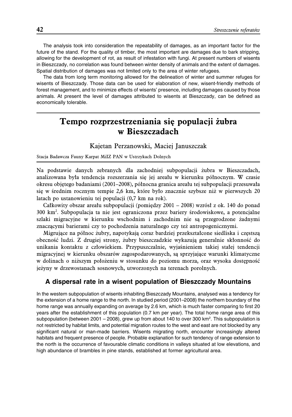The analysis took into consideration the repeatability of damages, as an important factor for the future of the stand. For the quality of timber, the most important are damages due to bark stripping, allowing for the development of rot, as result of infestation with fungi. At present numbers of wisents in Bieszczady, no correlation was found between winter density of animals and the extent of damages. Spatial distribution of damages was not limited only to the area of winter refugees.

The data from long term monitoring allowed for the delineation of winter and summer refuges for wisents of Bieszczady. Those data can be used for elaboration of new, wisent-friendly methods of forest management, and to minimize effects of wisents' presence, including damages caused by those animals. At present the level of damages attributed to wisents at Bieszczady, can be defined as economically tolerable.

# **Tempo rozprzestrzeniania się populacji żubra w Bieszczadach**

### Kajetan Perzanowski, Maciej Januszczak

Stacja Badawcza Fauny Karpat MiIZ PAN w Ustrzykach Dolnych

Na podstawie danych zebranych dla zachodniej subpopulacji żubra w Bieszczadach, analizowana była tendencja rozszerzania się jej areału w kierunku północnym. W czasie okresu objętego badaniami (2001–2008), północna granica areału tej subpopulacji przesuwała się w średnim rocznym tempie 2,6 km, które było znacznie szybsze niż w pierwszych 20 latach po ustanowieniu tej populacji (0,7 km na rok).

Całkowity obszar areału subpopulacji (pomiędzy 2001 – 2008) wzrósł z ok. 140 do ponad 300 km2 . Subpopulacja ta nie jest ograniczona przez bariery środowiskowe, a potencjalne szlaki migracyjne w kierunku wschodnim i zachodnim nie są przegrodzone żadnymi znaczącymi barierami czy to pochodzenia naturalnego czy też antropogenicznymi.

Migrujące na północ żubry, napotykają coraz bardziej przekształcone siedliska i częstszą obecność ludzi. Z drugiej strony, żubry bieszczadzkie wykazują generalnie skłonność do unikania kontaktu z człowiekiem. Przypuszczalnie, wyjaśnieniem takiej stałej tendencji migracyjnej w kierunku obszarów zagospodarowanych, są sprzyjające warunki klimatyczne w dolinach o niższym położeniu w stosunku do poziomu morza, oraz wysoka dostępność jeżyny w drzewostanach sosnowych, utworzonych na terenach porolnych.

### **A dispersal rate in a wisent population of Bieszczady Mountains**

In the western subpopulation of wisents inhabiting Bieszczady Mountains, analysed was a tendency for the extension of a home range to the north. In studied period (2001–2008) the northern boundary of the home range was annually expanding on average by 2.6 km, which is much faster comparing to first 20 years after the establishment of this population (0.7 km per year). The total home range area of this subpopulation (between 2001 - 2008), grew up from about 140 to over 300 km<sup>2</sup>. This subpopulation is not restricted by habitat limits, and potential migration routes to the west and east are not blocked by any significant natural or man-made barriers. Wisents migrating north, encounter increasingly altered habitats and frequent presence of people. Probable explanation for such tendency of range extension to the north is the occurrence of favourable climatic conditions in valleys situated at low elevations, and high abundance of brambles in pine stands, established at former agricultural area.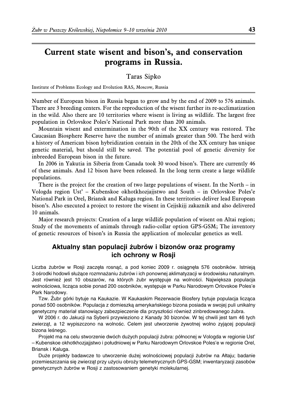# **Current state wisent and bison's, and conservation programs in Russia.**

Taras Sipko

Institute of Problems Ecology and Evolution RAS, Moscow, Russia

Number of European bison in Russia began to grow and by the end of 2009 to 576 animals. There are 3 breeding centers. For the reproduction of the wisent further its re-acclimatization in the wild. Also there are 10 territories where wisent is living as wildlife. The largest free population in Orlovskoe Poles'e National Park more than 200 animals.

Mountain wisent and extermination in the 90th of the XX century was restored. The Caucasian Biosphere Reserve have the number of animals greater than 500. The herd with a history of American bison hybridization contain in the 20th of the XX century has unique genetic material, but should still be saved. The potential pool of genetic diversity for inbreeded European bison in the future.

In 2006 in Yakutia in Siberia from Canada took 30 wood bison's. There are currently 46 of these animals. And 12 bison have been released. In the long term create a large wildlife populations.

There is the project for the creation of two large populations of wisent. In the North – in Vologda region Ust' – Kubenskoe okhotkhozjajjstwo and South – in Orlovskoe Poles'e National Park in Orel, Briansk and Kaluga region. In these territories deliver lead European bison's. Also executed a project to restore the wisent in Cejjskijj zakaznik and also delivered 10 animals.

Major research projects: Creation of a large wildlife population of wisent on Altai region; Study of the movements of animals through radio-collar option GPS-GSM; The inventory of genetic resources of bison's in Russia the application of molecular genetics as well.

# Aktualny stan populacji żubrów i bizonów oraz programy **ich ochrony w Rosji**

Liczba żubrów w Rosji zaczęła rosnąć, a pod koniec 2009 r. osiągnęła 576 osobników. Istnieją 3 ośrodki hodowli służące rozmnażaniu żubrów i ich ponownej aklimatyzacji w środowisku naturalnym. Jest również jest 10 obszarów, na których żubr występuje na wolności. Największa populacja wolnościowa, licząca sobie ponad 200 osobników, występuje w Parku Narodowym Orlovskoe Poles'e Park Narodowy.

Tzw. Zubr górki bytuje na Kaukazie. W Kaukaskim Rezerwacie Biosfery bytuje populacja licząca ponad 500 osobników. Populacja z domieszka amerykańskiego bizona posiada w swojej puli unikalny genetyczny materiał stanowiący zabezpieczenie dla przyszłości również zinbredowanego żubra.

W 2006 r. do Jakucji na Syberii przywieziono z Kanady 30 bizonów. W tej chwili jest tam 46 tych zwierząt, a 12 wypiszczono na wolnośc. Celem jest utworzenie żywotnej wolno zyjącej populacji bizona leśnego.

Projekt ma na celu stworzenie dwóch dużych populacji żubra: północnej w Vologda w regionie Usť – Kubenskoe okhotkhozjajjstwo i południowej w Parku Narodowym Orlovskoe Poles'e w regionie Orel, Briansk i Kaluga.

Duże projekty badawcze to utworzenie dużej wolnościowej populacji żubrów na Ałtaju; badanie przemieszczania się zwierząt przy użyciu obroży telemetrycznych GPS-GSM; inwentaryzacji zasobów genetycznych żubrów w Rosji z zastosowaniem genetyki molekularnej.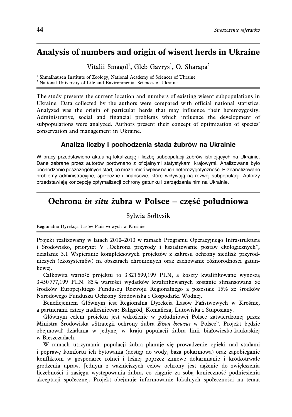# **Analysis of numbers and origin of wisent herds in Ukraine**

Vitalii Smagol<sup>1</sup>, Gleb Gavrys<sup>1</sup>, O. Sharapa<sup>2</sup>

<sup>1</sup> Shmalhausen Institute of Zoology, National Academy of Sciences of Ukraine <sup>2</sup> National University of Life and Environmental Sciences of Ukraine

The study presents the current location and numbers of existing wisent subpopulations in Ukraine. Data collected by the authors were compared with official national statistics. Analyzed was the origin of particular herds that may influence their heterozygosity. Administrative, social and financial problems which influence the development of subpopulations were analyzed. Authors present their concept of optimization of species' conservation and management in Ukraine.

### Analiza liczby i pochodzenia stada żubrów na Ukrainie

W pracy przedstawiono aktualna lokalizacje i liczbe subpopulacji żubrów istniejących na Ukrainie. Dane zebrane przez autorów porównano z oficjalnymi statystykami krajowymi. Analizowane było pochodzenie poszczególnych stad, co może mieć wpływ na ich heterozygotyczność. Przeanalizowano problemy administracyjne, społeczne i finansowe, które wpływają na rozwój subpopulacji. Autorzy przedstawiają koncepcję optymalizacji ochrony gatunku i zarządzania nim na Ukrainie.

# **Ochrona in situ żubra w Polsce – część południowa**

### Sylwia Sołtysik

Regionalna Dyrekcja Lasów Państwowych w Krośnie

Projekt realizowany w latach 2010–2013 w ramach Programu Operacyjnego Infrastruktura i Środowisko, priorytet V "Ochrona przyrody i kształtowanie postaw ekologicznych", działanie 5.1 Wspieranie kompleksowych projektów z zakresu ochrony siedlisk przyrodniczych (ekosystemów) na obszarach chronionych oraz zachowanie różnorodności gatunkowej.

Całkowita wartość projektu to 3 821 599,199 PLN, a koszty kwalifikowane wynoszą 3 450 777,199 PLN. 85% wartości wydatków kwalifikowanych zostanie sfinansowana ze środków Europejskiego Funduszu Rozwoju Regionalnego a pozostałe 15% ze środków Narodowego Funduszu Ochrony Środowiska i Gospodarki Wodnej.

Beneficjentem Głównym jest Regionalna Dyrekcja Lasów Państwowych w Krośnie, a partnerami cztery nadleśnictwa: Baligród, Komańcza, Lutowiska i Stuposiany.

Głównym celem projektu jest wdrożenie w południowej Polsce zatwierdzonej przez Ministra Środowiska "Strategii ochrony żubra Bison bonasus w Polsce". Projekt będzie obejmował działania w jedynej w kraju populacji żubra linii białowiesko-kaukaskiej w Bieszczadach.

W ramach utrzymania populacji żubra planuje się prowadzenie opieki nad stadami i poprawę komfortu ich bytowania (dostęp do wody, baza pokarmowa) oraz zapobieganie konfliktom w gospodarce rolnej i leśnej poprzez zimowe dokarmianie i krótkotrwałe grodzenia upraw. Jednym z ważniejszych celów ochrony jest dążenie do zwiększenia liczebności i zasięgu występowania żubra, co ciągnie za sobą konieczność podniesienia akceptacji społecznej. Projekt obejmuje informowanie lokalnych społeczności na temat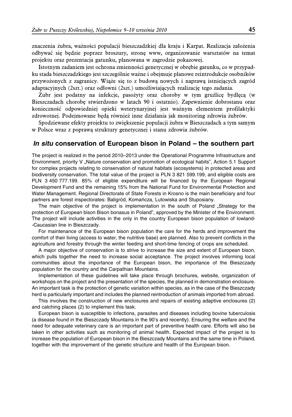znaczenia żubra, ważności populacji bieszczadzkiej dla kraju i Karpat. Realizacja założenia odbywać się będzie poprzez broszury, stronę www, organizowanie warsztatów na temat projektu oraz prezentacja gatunku, planowana w zagrodzie pokazowej.

Istotnym zadaniem jest ochrona zmienności genetycznej w obrębie gatunku, co w przypadku stada bieszczadzkiego jest szczególnie ważne i obejmuje planowe reintrodukcje osobników przywożonych z zagranicy. Wiąże się to z budową nowych i naprawą istniejących zagród adaptacyjnych (2szt.) oraz odłowni (2szt.) umożliwiających realizację tego zadania.

Żubr jest podatny na infekcje, pasożyty oraz choroby w tym gruźlicę bydlęcą (w Bieszczadach chorobę stwierdzono w latach 90 i ostatnio). Zapewnienie dobrostanu oraz konieczność odpowiedniej opieki weterynaryjnej jest ważnym elementem profilaktyki zdrowotnej. Podejmowane będą również inne działania jak monitoring zdrowia żubrów.

Spodziewane efekty projektu to zwiększenie populacji żubra w Bieszczadach a tym samym w Polsce wraz z poprawą struktury genetycznej i stanu zdrowia żubrów.

### *In situ* **conservation of European bison in Poland – the southern part**

The project is realized in the period 2010–2013 under the Operational Programme Infrastructure and Environment, priority V "Nature conservation and promotion of ecological habits", Action 5.1 Support for complex projects relating to conservation of natural habitats (ecosystems) in protected areas and biodiversity conservation. The total value of the project is PLN 3 821 599.199, and eligible costs are PLN 3 450 777.199. 85% of eligible expenditure will be financed by the European Regional Development Fund and the remaining 15% from the National Fund for Environmental Protection and Water Management. Regional Directorate of State Forests in Krosno is the main beneficiary and four partners are forest inspectorates: Baligród, Komańcza, Lutowiska and Stuposiany.

The main objective of the project is implementation in the south of Poland "Strategy for the protection of European bison Bison bonasus in Poland", approved by the Minister of the Environment. The project will include activities in the only in the country European bison population of lowland- -Caucasian line in Bieszczady.

For maintenance of the European bison population the care for the herds and improvement the comfort of their living (access to water, the nutritive base) are planned. Also to prevent conflicts in the agriculture and forestry through the winter feeding and short-time fencing of crops are scheduled.

A major objective of conservation is to strive to increase the size and extent of European bison, which pulls together the need to increase social acceptance. The project involves informing local communities about the importance of the European bison, the importance of the Bieszczady population for the country and the Carpathian Mountains.

Implementation of these guidelines will take place through brochures, website, organization of workshops on the project and the presentation of the species, the planned in demonstration enclosure. An important task is the protection of genetic variation within species, as in the case of the Bieszczady herd is particularly important and includes the planned reintroduction of animals imported from abroad.

This involves the construction of new enclosures and repairs of existing adaptive enclosures (2) and catching places (2) to implement this task.

European bison is susceptible to infections, parasites and diseases including bovine tuberculosis (a disease found in the Bieszczady Mountains in the 90's and recently). Ensuring the welfare and the need for adequate veterinary care is an important part of preventive health care. Efforts will also be taken in other activities such as monitoring of animal health. Expected impact of the project is to increase the population of European bison in the Bieszczady Mountains and the same time in Poland, together with the improvement of the genetic structure and health of the European bison.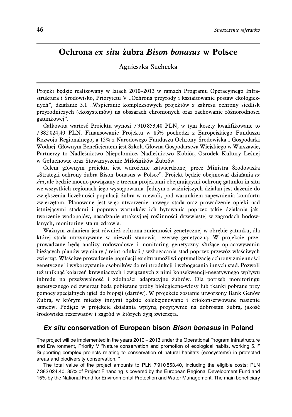# **Ochrona ex situ żubra Bison bonasus w Polsce**

### Agnieszka Suchecka

Projekt będzie realizowany w latach 2010–2013 w ramach Programu Operacyjnego Infrastruktura i Środowisko, Priorytetu V "Ochrona przyrody i kształtowanie postaw ekologicznych", działanie 5.1 "Wspieranie kompleksowych projektów z zakresu ochrony siedlisk przyrodniczych (ekosystemów) na obszarach chronionych oraz zachowanie różnorodności gatunkowej".

Całkowita wartość Projektu wynosi 7 910 853,40 PLN, w tym koszty kwalifikowane to 7 382 024,40 PLN. Finansowanie Projektu w 85% pochodzi z Europejskiego Funduszu Rozwoju Regionalnego, a 15% z Narodowego Funduszu Ochrony Środowiska i Gospodarki Wodnej. Głównym Beneficjentem jest Szkoła Główna Gospodarstwa Wiejskiego w Warszawie, Partnerzy to Nadleśnictwo Niepołomice, Nadleśnictwo Kobiór, Ośrodek Kultury Leśnej w Gołuchowie oraz Stowarzyszenie Miłośników Żubrów.

Celem głównym projektu jest wdrożenie zatwierdzonej przez Ministra Środowiska "Strategii ochrony żubra Bison bonasus w Polsce". Projekt będzie obejmował działania ex situ, ale będzie mocno powiązany z trzema projektami obejmującymi ochronę gatunku in situ we wszystkich regionach jego występowania. Jednym z ważniejszych działań jest dążenie do zwiększenia liczebności populacji żubra w niewoli, pod warunkiem zapewnienia komfortu zwierzętom. Planowane jest więc utworzenie nowego stada oraz prowadzenie opieki nad istniejącymi stadami i poprawa warunków ich bytowania poprzez takie działania jak: tworzenie wodopojów, nasadzanie atrakcyjnej roślinności drzewiastej w zagrodach hodowlanych, monitoring stanu zdrowia.

Ważnym zadaniem jest również ochrona zmienności genetycznej w obrębie gatunku, dla której stada utrzymywane w niewoli stanowią rezerwę genetyczną. W projekcie przeprowadzane będą analizy rodowodowe i monitoring genetyczny służące opracowywaniu bieżących planów wymiany / reintrodukcji / wzbogacania stad poprzez przewóz właściwych zwierząt. Właściwe prowadzenie populacji ex situ umożliwi optymalizację ochrony zmienności genetycznej i wykorzystanie osobników do reintrodukcji i wzbogacania innych stad. Pozwoli też uniknąć kojarzeń krewniaczych i związanych z nimi konsekwencji-negatywnego wpływu inbredu na przeżywalność i zdolności adaptacyjne żubrów. Dla potrzeb monitoringu genetycznego od zwierząt będą pobierane próby biologiczne-włosy lub tkanki pobrane przy pomocy specjalnych igieł do biopsji (dartów). W projekcie zostanie utworzony Bank Genów Żubra, w którym miedzy innymi będzie kolekcjonowane i kriokonserwowane nasienie samców. Podjęte w projekcie działania wpłyną pozytywnie na dobrostan żubra, jakość środowiska rezerwatów i zagród w których żyją zwierzęta.

### *Ex situ* **conservation of European bison** *Bison bonasus* **in Poland**

The project will be implemented in the years 2010 – 2013 under the Operational Program Infrastructure and Environment, Priority V "Nature conservation and promotion of ecological habits, working 5.1" Supporting complex projects relating to conservation of natural habitats (ecosystems) in protected areas and biodiversity conservation. "

The total value of the project amounts to PLN 7 910 853.40, including the eligible costs: PLN 7 382 024.40. 85% of Project Financing is covered by the European Regional Development Fund and 15% by the National Fund for Environmental Protection and Water Management. The main beneficiary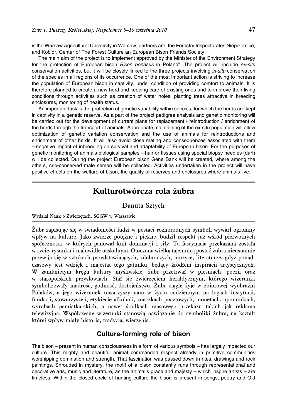is the Warsaw Agricultural University in Warsaw, partners are: the Forestry Inspectorates Niepołomice, and Kobiór. Center of The Forest Culture an European Bison Friends Society.

The main aim of the project is to implement approved by the Minister of the Environment Strategy for the protection of European bison *Bison bonasus* in Poland". The project will include *ex-situ* conservation activities, but it will be closely linked to the three projects involving *in-situ* conservation of the species in all regions of its occurrence. One of the most important action is striving to increase the population of European bison in captivity, under condition of providing comfort to animals. It is therefore planned to create a new herd and keeping care of existing ones and to improve their living conditions through activities such as creation of water holes, planting trees attractive in breeding enclosures, monitoring of health status.

An important task is the protection of genetic variability within species, for which the herds are kept in captivity in a genetic reserve. As a part of the project pedigree analysis and genetic monitoring will be carried out for the development of current plans for replacement / reintroduction / enrichment of the herds through the transport of animals. Appropriate maintaining of the ex-situ population will allow optimization of genetic variation conservation and the use of animals for reintroductions and enrichment of other herds. It will also avoid close mating and consequences associated with them – negative impact of inbreeding on survival and adaptability of European bison. For the purposes of genetic monitoring of animals biological samples – hair or tissues using special biopsy needles (dart) will be collected. During the project European bison Gene Bank will be created, where among the others, crio-conserved male semen will be collected. Activities undertaken in the project will have positive effects on the welfare of bison, the quality of reserves and enclosures where animals live.

# **Kulturotwórcza rola żubra**

### Danuta Sztych

#### Wydział Nauk o Zwierzętach, SGGW w Warszawie

Żubr zapisując się w świadomości ludzi w postaci różnorodnych symboli wywarł ogromny wpływ na kulturę. Jako zwierze potężne i piękne, budził respekt już wśród pierwotnych społeczności, w których panował kult dominacji i siły. Ta fascynacja przekazana została w rycie, rysunku i malowidle naskalnym. Otoczona wielką tajemnicą postać żubra nieustannie przewija się w sztukach przedstawiających, zdobniczych, muzyce, literaturze, gdyż ponadczasowy jest wdzięk i majestat tego gatunku, będący źródłem inspiracji artystycznych. W zamkniętym kręgu kultury myśliwskiej żubr przetrwał w pieśniach, poezji oraz w staropolskich przysłowiach. Stał się zwierzęciem heraldycznym, którego wizerunki symbolizowały mądrość, godność, dostojeństwo. Żubr ciągle żyje w zbiorowej wyobraźni Polaków, a jego wizerunek towarzyszy nam w życiu codziennym na logach instytucji, fundacji, stowarzyszeń, etykiecie alkoholi, znaczkach pocztowych, monetach, upominkach, wyrobach pamiątkarskich, a nawet środkach masowego przekazu takich jak reklama telewizyjna. Współczesne wizerunki stanowią nawiązanie do symboliki żubra, na kształt której wpływ miały historia, tradycja, wierzenia.

### **Culture-forming role of bison**

The bison – present in human consciousness in a form of various symbols – has largely impacted our culture. This mighty and beautiful animal commanded respect already in primitive communities worshipping domination and strength. That fascination was passed down in rites, drawings and rock paintings. Shrouded in mystery, the motif of a bison constantly runs through representational and decorative arts, music and literature, as the animal's grace and majesty – which inspire artists – are timeless. Within the closed circle of hunting culture the bison is present in songs, poetry and Old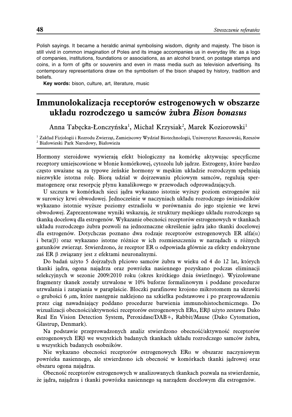Polish sayings. It became a heraldic animal symbolising wisdom, dignity and majesty. The bison is still vivid in common imagination of Poles and its image accompanies us in everyday life: as a logo of companies, institutions, foundations or associations, as an alcohol brand, on postage stamps and coins, in a form of gifts or souvenirs and even in mass media such as television advertising. Its contemporary representations draw on the symbolism of the bison shaped by history, tradition and beliefs.

**Key words:** bison, culture, art, literature, music

# **Immunolokalizacja receptorów estrogenowych w obszarze układu rozrodczego u samców żubra Bison bonasus**

Anna Tabęcka-Łonczyńska<sup>1</sup>, Michał Krzysiak<sup>2</sup>, Marek Koziorowski<sup>1</sup>

<sup>1</sup> Zakład Fizjologii i Rozrodu Zwierząt, Zamiejscowy Wydział Biotechnologii, Uniwersytet Rzeszowski, Rzeszów <sup>2</sup> Białowieski Park Narodowy, Białowieża

Hormony steroidowe wywierają efekt biologiczny na komórkę aktywując specyficzne receptory umiejscowione w błonie komórkowej, cytozolu lub jądrze. Estrogeny, które bardzo często uważane są za typowe żeńskie hormony w męskim układzie rozrodczym spełniają niezwykle istotna rolę. Biorą udział w dojrzewaniu płciowym samców, regulują spermatogenezę oraz resorpcję płynu kanalikowego w przewodach odprowadzających.

U szczura w komórkach sieci jądra wykazano istotnie wyższy poziom estrogenów niż w surowicy krwi obwodowej. Jednocześnie w naczyniach układu rozrodczego świniodzików wykazano istotnie wyższe poziomy estradiolu w porównaniu do jego stężenie we krwi obwodowej. Zaprezentowane wyniki wskazują, że struktury męskiego układu rozrodczego są tkanką docelową dla estrogenów. Wykazanie obecności receptorów estrogenowych w tkankach układu rozrodczego żubra pozwoli na jednoznaczne określenie jądra jako tkanki docelowej dla estrogenów. Dotychczas poznano dwa rodzaje receptorów estrogenowych ER alfa $(\alpha)$ i beta $(\beta)$  oraz wykazano istotne różnice w ich rozmieszczeniu w narządach u różnych gatunków zwierząt. Stwierdzono, że receptor ER  $\alpha$  odpowiada głównie za efekty endokrynne zaś ER  $\beta$  związany jest z efektami neuronalnymi.

Do badań użyto 5 dojrzałych płciowo samców żubra w wieku od 4 do 12 lat, których tkanki jądra, ogona najądrza oraz powrózka nasiennego pozyskano podczas eliminacji selekcyjnych w sezonie 2009/2010 roku (okres krótkiego dnia świetlnego). Wyizolowane fragmenty tkanek zostały utrwalone w 10% buforze formalinowym i poddane procedurze utrwalania i zatapiania w paraplaście. Bloczki parafinowe krojono mikrotomem na skrawki o grubości 6  $\mu$ m, które następnie naklejono na szkiełka podstawowe i po przeprowadzeniu przez ciąg nawadniający poddano procedurze barwienia immunohistochemicznego. Do wizualizacji obecności/aktywności receptorów estrogenowych ERR, ERS użyto zestawu Dako Real En Vision Detection System, Peroxidase/DAB+, Rabbit/Mause (Dako Cytomation, Glastrup, Denmark).

Na podstawie przeprowadzonych analiz stwierdzono obecność/aktywność receptorów estrogenowych ERS we wszystkich badanych tkankach układu rozrodczego samców żubra, u wszystkich badanych osobników.

Nie wykazano obecności receptorów estrogenowych ER $\alpha$  w obszarze naczyniowym powrózka nasiennego, ale stwierdzono ich obecność w komórkach tkanki jądrowej oraz obszaru ogona najądrza.

Obecność receptorów estrogenowych w analizowanych tkankach pozwala na stwierdzenie, że jądra, najądrza i tkanki powrózka nasiennego są narządem docelowym dla estrogenów.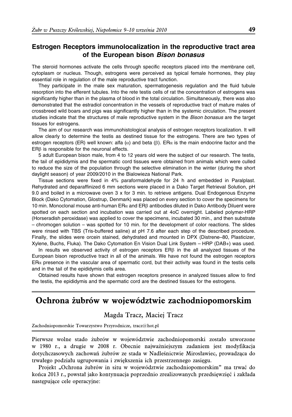### **Estrogen Receptors immunolocalization in the reproductive tract area of the European bison** *Bison bonasus*

The steroid hormones activate the cells through specific receptors placed into the membrane cell, cytoplasm or nucleus. Though, estrogens were perceived as typical female hormones, they play essential role in regulation of the male reproductive tract function.

They participate in the male sex maturation, spermatogenesis regulation and the fluid tubule resorption into the efferent tubules. Into the rete testis cells of rat the concentration of estrogens was significantly higher than in the plasma of blood in the total circulation. Simultaneously, there was also demonstrated that the estradiol concentration in the vessels of reproductive tract of mature males of crossbreed wild boars and pigs was significantly higher than in the systemic circulation. The present studies indicate that the structures of male reproductive system in the *Bison bonasus* are the target tissues for estrogens.

The aim of our research was immunohistological analysis of estrogen receptors localization. It will allow clearly to determine the testis as destined tissue for the estrogens. There are two types of estrogen receptors (ER) well known: alfa ( $\alpha$ ) and beta ( $\beta$ ). ER $\alpha$  is the main endocrine factor and the  $ER\beta$  is responsible for the neuronal effects.

5 adult European bison male, from 4 to 12 years old were the subject of our research. The testis, the tail of epididymis and the spermatic cord tissues were obtained from animals which were culled to reduce the size of the population through the selective elimination in the winter (during the short daylight season) of year 2009/2010 in the Bialowieza National Park.

Tissue sections were fixed in 4% paraformaldehyde for 24 h and embedded in Paralplast. Rehydrated and deparaffinized 6 mm sections were placed in a Dako Target Retrieval Solution, pH 9.0 and boiled in a microwave oven 3 x for 3 min. to retrieve antigens. Dual Endogenous Enzyme Block (Dako Cytomation, Glostrup, Denmark) was placed on every section to cover the specimens for 10 min. Monoclonal mouse anti-human  $ER\alpha$  and  $ER\beta$  antibodies diluted in Dako Antibody Diluent were spotted on each section and incubation was carried out at 4oC overnight. Labeled polymer-HRP (Horseradish peroxidase) was applied to cover the specimens, incubated 30 min., and then substrate – chromogen solution – was spotted for 10 min. for the development of color reactions. The slides were rinsed with TBS (Tris-buffered saline) at pH 7.6 after each step of the described procedure. Finally, the slides were orcein stained, dehydrated and mounted in DPX (Distrene–80, Plasticizer, Xylene, Buchs, Fluka). The Dako Cytomation En Vision Dual Link System – HRP (DAB+) was used.

In results we observed activity of estrogen receptors  $ER\beta$  in the all analyzed tissues of the European bison reproductive tract in all of the animals. We have not found the estrogen receptors  $E R\alpha$  presence in the vascular area of spermatic cord, but their activity was found in the testis cells and in the tail of the epididymis cells area.

Obtained results have shown that estrogen receptors presence in analyzed tissues allow to find the testis, the epididymis and the spermatic cord are the destined tissues for the estrogens.

# **Ochrona żubrów w województwie zachodniopomorskim**

### Magda Tracz, Maciej Tracz

Zachodniopomorskie Towarzystwo Przyrodnicze, tracz@hot.pl

Pierwsze wolne stado żubrów w województwie zachodniopomorski zostało utworzone w 1980 r., a drugie w 2008 r. Obecnie najważniejszym zadaniem jest modyfikacja dotychczasowych zachowań żubrów ze stada w Nadleśnictwie Mirosławiec, prowadząca do trwałego podziału ugrupowania i zwiększenia ich przestrzennego zasięgu.

Projekt "Ochrona żubrów in situ w województwie zachodniopomorskim" ma trwać do końca 2013 r., powstał jako kontynuacja poprzednio zrealizowanych przedsięwzięć i zakłada następujące cele operacyjne: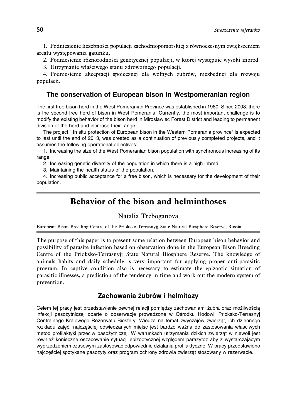1. Podniesienie liczebności populacji zachodniopomorskiej z równoczesnym zwiększeniem areału występowania gatunku,

2. Podniesienie różnorodności genetycznej populacji, w której występuje wysoki inbred

3. Utrzymanie właściwego stanu zdrowotnego populacji.

4. Podniesienie akceptacji społecznej dla wolnych żubrów, niezbędnej dla rozwoju populacji.

### **The conservation of European bison in Westpomeranian region**

The first free bison herd in the West Pomeranian Province was established in 1980. Since 2008, there is the second free herd of bison in West Pomerania. Currently, the most important challenge is to modify the existing behavior of the bison herd in Mirosławiec Forest District and leading to permanent division of the herd and increase their range.

The project " In situ protection of European bison in the Western Pomerania province" is expected to last until the end of 2013, was created as a continuation of previously completed projects, and it assumes the following operational objectives:

1. Increasing the size of the West Pomeranian bison population with synchronous increasing of its range.

2. Increasing genetic diversity of the population in which there is a high inbred.

3. Maintaining the health status of the population.

4. Increasing public acceptance for a free bison, which is necessary for the development of their population.

# **Behavior of the bison and helminthoses**

#### Natalia Treboganova

European Bison Breeding Centre of the Prioksko-Terrasnyjj State Natural Biosphere Reserve, Russia

The purpose of this paper is to present some relation between European bison behavior and possibility of parasite infection based on observation done in the European Bison Breeding Centre of the Prioksko-Terrasnyjj State Natural Biosphere Reserve. The knowledge of animals habits and daily schedule is very important for applying proper anti-parasitic program. In captive condition also is necessary to estimate the epizootic situation of parasitic illnesses, a prediction of the tendency in time and work out the modern system of prevention.

#### **Zachowania z˙ubro´ w i helmitozy**

Celem tej pracy jest przedstawienie pewnej relacji pomiędzy zachowaniami żubra oraz możliwością infekcji pasożytniczej oparte o obserwacje prowadzone w Ośrodku Hodowli Prioksko-Terrasnyj Centralnego Krajowego Rezerwatu Biosfery. Wiedza na temat zwyczajów zwierząt, ich dziennego rozkładu zajęć, najczęściej odwiedzanych miejsc jest bardzo ważna do zastosowania właściwych metod profilaktyki przeciw pasożytniczej. W warunkach utrzymania dzikich zwierząt w niewoli jest również konieczne oszacowanie sytuacji epizootycznej względem parazytoz aby z wystarczającym wyprzedzeniem czasowym zastosowac´ odpowiednie działania profilaktyczne. W pracy przedstawiono najczęściej spotykane pasożyty oraz program ochrony zdrowia zwierząt stosowany w rezerwacie.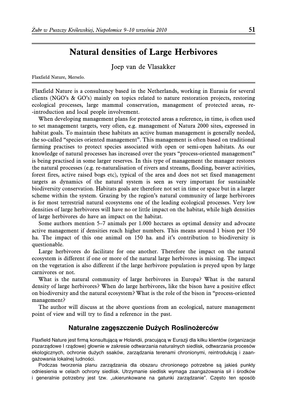# **Natural densities of Large Herbivores**

Joep van de Vlasakker

Flaxfield Nature, Merselo.

Flaxfield Nature is a consultancy based in the Netherlands, working in Eurasia for several clients (NGO's & GO's) mainly on topics related to nature restoration projects, restoring ecological processes, large mammal conservation, management of protected areas, re- -introduction and local people involvement.

When developing management plans for protected areas a reference, in time, is often used to set management targets, very often, e.g. management of Natura 2000 sites, expressed in habitat goals. To maintain these habitats an active human management is generally needed, the so-called "species oriented management". This management is often based on traditional farming practises to protect species associated with open or semi-open habitats. As our knowledge of natural processes has increased over the years "process-oriented management" is being practised in some larger reserves. In this type of management the manager restores the natural processes (e.g. re-naturalisation of rivers and streams, flooding, beaver activities, forest fires, active raised bogs etc), typical of the area and does not set fixed management targets as dynamics of the natural system is seen as very important for sustainable biodiversity conservation. Habitats goals are therefore not set in time or space but in a larger scheme within the system. Grazing by the region's natural community of large herbivores is for most terrestrial natural ecosystems one of the leading ecological processes. Very low densities of large herbivores will have no or little impact on the habitat, while high densities of large herbivores do have an impact on the habitat.

Some authors mention 5–7 animals per 1.000 hectares as optimal density and advocate active management if densities reach higher numbers. This means around 1 bison per 150 ha. The impact of this one animal on 150 ha. and it's contribution to biodiversity is questionable.

Large herbivores do facilitate for one another. Therefore the impact on the natural ecosystem is different if one or more of the natural large herbivores is missing. The impact on the vegetation is also different if the large herbivore population is preyed upon by large carnivores or not.

What is the natural community of large herbivores in Europa? What is the natural density of large herbivores? When do large herbivores, like the bison have a positive effect on biodiversity and the natural ecosystem? What is the role of the bison in "process-oriented management?

The author will discuss at the above questions from an ecological, nature management point of view and will try to find a reference in the past.

### **Naturalne zagęszczenie Dużych Roslinożerców**

Flaxfield Nature jest firma konsultującą w Holandii, pracującą w Eurazji dla kilku klientów (organizacje pozarządowe I rządowe) głownie w zakresie odtwarzania naturalnych siedlisk, odtwarzania procesów ekologicznych, ochronie dużych ssaków, zarządzania terenami chronionymi, reintrodukcją i zaangażowania lokalnej ludności.

Podczas tworzenia planu zarządzania dla obszaru chronionego potrzebne są jakieś punkty odniesienia w celach ochrony siedlisk. Utrzymanie siedlisk wymaga zaangażowania sił i środków i generalnie potrzebny jest tzw. "ukierunkowane na gatunki zarządzanie". Często ten sposób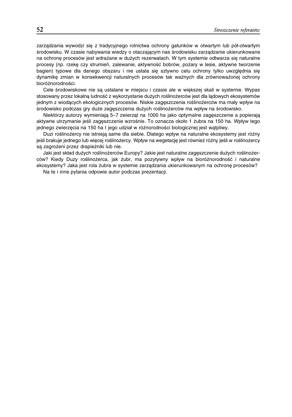zarządzania wywodzi się z tradycyjnego rolnictwa ochrony gatunków w otwartym lub pół-otwartym środowisku. W czasie nabywania wiedzy o otaczającym nas środowisku zarządzanie ukierunkowane na ochrone procesów jest wdrażane w dużych rezerwatach. W tym systemie odtwarza sie naturalne procesy (np. rzekę czy strumień, zalewanie, aktywność bobrów, pożary w lesie, aktywne tworzenie bagien) typowe dla danego obszaru i nie ustala sie sztywno celu ochrony tylko uwzglednia sie dynamikę zmian w konsekwencji naturalnych procesów tak ważnych dla zrównoważonej ochrony bioróżnorodności.

Cele środowiskowe nie są ustalane w miejscu i czasie ale w większej skali w systemie. Wypas stosowany przez lokalną ludność z wykorzystanie dużych roślinożerców jest dla lądowych ekosystemów jednym z wiodących ekologicznych procesów. Niskie zagęszczenia roślinożerców ma mały wpływ na środowisko podczas gry duże zageszczenia dużych roślinożerców ma wpływ na środowisko.

Niektórzy autorzy wymieniają 5–7 zwierząt na 1000 ha jako optymalne zagęszczenie a popierają aktywne utrzymanie jeśli zagęszczenie wzrośnie. To oznacza około 1 żubra na 150 ha. Wpływ tego jednego zwierzęcia na 150 ha I jego udział w różnorodności biologicznej jest watpliwy.

Duzi roślinożercy nie istnieją same dla siebie. Dlatego wpływ na naturalne ekosystemy jest różny jeśli brakuje jednego lub więcej roślinożercy. Wpływ na wegetację jest również różny jeśli w roślinożercy są zagrożeni przez drapieżniki lub nie.

Jaki jest skład dużych roślinożerców Europy? Jakie jest naturalne zagęszczenie dużych roślinożerców? Kiedy Duzy roślinożerca, jak żubr, ma pozytywny wpływ na bioróżnorodność i naturalne ekosystemy? Jaka jest rola żubra w systemie zarządzania ukierunkowanym na ochronę procesów?

Na te i inne pytania odpowie autor podczas prezentacji.